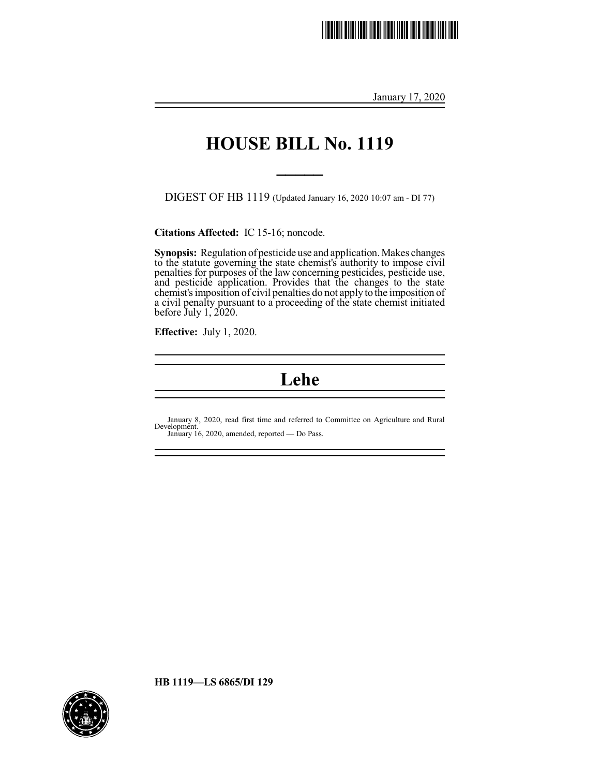# \*HB1119.1\*

January 17, 2020

## **HOUSE BILL No. 1119**

**\_\_\_\_\_**

DIGEST OF HB 1119 (Updated January 16, 2020 10:07 am - DI 77)

**Citations Affected:** IC 15-16; noncode.

Synopsis: Regulation of pesticide use and application. Makes changes to the statute governing the state chemist's authority to impose civil penalties for purposes of the law concerning pesticides, pesticide use, and pesticide application. Provides that the changes to the state chemist's imposition of civil penalties do not apply to the imposition of a civil penalty pursuant to a proceeding of the state chemist initiated before July 1, 2020.

**Effective:** July 1, 2020.

### **Lehe**

January 8, 2020, read first time and referred to Committee on Agriculture and Rural Development. January 16, 2020, amended, reported — Do Pass.

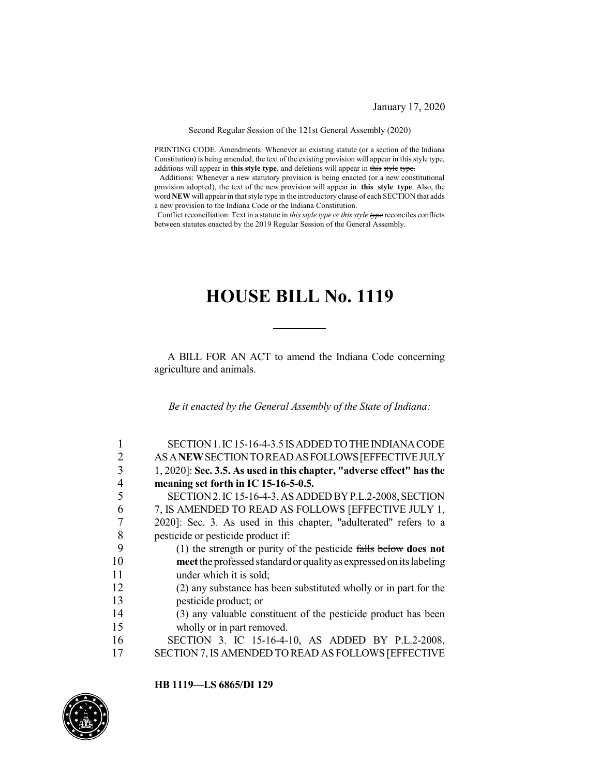January 17, 2020

Second Regular Session of the 121st General Assembly (2020)

PRINTING CODE. Amendments: Whenever an existing statute (or a section of the Indiana Constitution) is being amended, the text of the existing provision will appear in this style type, additions will appear in **this style type**, and deletions will appear in this style type.

Additions: Whenever a new statutory provision is being enacted (or a new constitutional provision adopted), the text of the new provision will appear in **this style type**. Also, the word **NEW** will appear in that style type in the introductory clause of each SECTION that adds a new provision to the Indiana Code or the Indiana Constitution.

Conflict reconciliation: Text in a statute in *this style type* or *this style type* reconciles conflicts between statutes enacted by the 2019 Regular Session of the General Assembly.

## **HOUSE BILL No. 1119**

A BILL FOR AN ACT to amend the Indiana Code concerning agriculture and animals.

*Be it enacted by the General Assembly of the State of Indiana:*

| 1              | SECTION 1. IC 15-16-4-3.5 IS ADDED TO THE INDIANA CODE                   |
|----------------|--------------------------------------------------------------------------|
| $\overline{2}$ | AS A NEW SECTION TO READ AS FOLLOWS [EFFECTIVE JULY                      |
| 3              | 1, 2020]: Sec. 3.5. As used in this chapter, "adverse effect" has the    |
| 4              | meaning set forth in IC 15-16-5-0.5.                                     |
| 5              | SECTION 2. IC 15-16-4-3, AS ADDED BY P.L.2-2008, SECTION                 |
| 6              | 7, IS AMENDED TO READ AS FOLLOWS [EFFECTIVE JULY 1,                      |
| 7              | 2020]: Sec. 3. As used in this chapter, "adulterated" refers to a        |
| 8              | pesticide or pesticide product if:                                       |
| 9              | (1) the strength or purity of the pesticide $\frac{f}{f}$ below does not |
| 10             | meet the professed standard or quality as expressed on its labeling      |
| 11             | under which it is sold;                                                  |
| 12             | (2) any substance has been substituted wholly or in part for the         |
| 13             | pesticide product; or                                                    |
| 14             | (3) any valuable constituent of the pesticide product has been           |
| 15             | wholly or in part removed.                                               |
| 16             | SECTION 3. IC 15-16-4-10, AS ADDED BY P.L.2-2008,                        |
| 17             | SECTION 7, IS AMENDED TO READ AS FOLLOWS [EFFECTIVE                      |

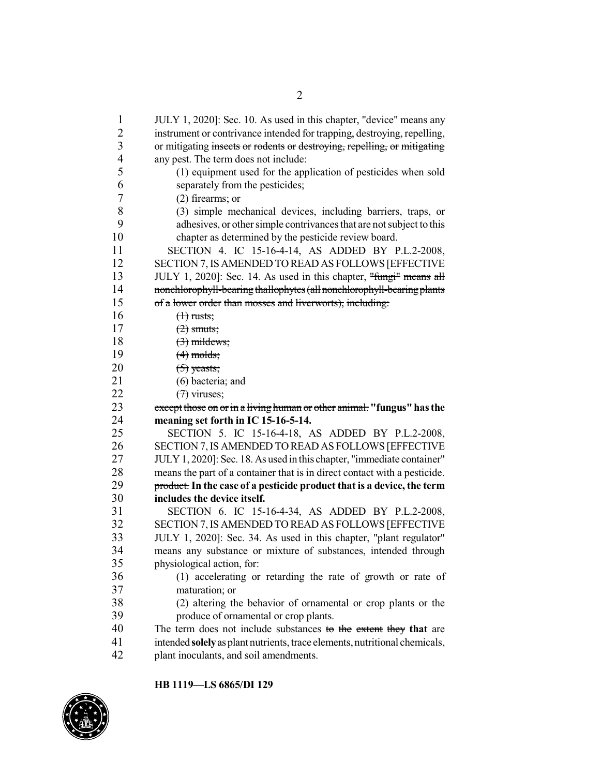| $\mathbf{1}$                     | JULY 1, 2020]: Sec. 10. As used in this chapter, "device" means any                                                                                 |
|----------------------------------|-----------------------------------------------------------------------------------------------------------------------------------------------------|
| $\overline{c}$<br>$\overline{3}$ | instrument or contrivance intended for trapping, destroying, repelling,<br>or mitigating insects or rodents or destroying, repelling, or mitigating |
| $\overline{4}$                   | any pest. The term does not include:                                                                                                                |
| 5                                | (1) equipment used for the application of pesticides when sold                                                                                      |
| 6                                | separately from the pesticides;                                                                                                                     |
| 7                                | $(2)$ firearms; or                                                                                                                                  |
| 8                                | (3) simple mechanical devices, including barriers, traps, or                                                                                        |
| 9                                | adhesives, or other simple contrivances that are not subject to this                                                                                |
| 10                               | chapter as determined by the pesticide review board.                                                                                                |
| 11                               | SECTION 4. IC 15-16-4-14, AS ADDED BY P.L.2-2008,                                                                                                   |
| 12                               | SECTION 7, IS AMENDED TO READ AS FOLLOWS [EFFECTIVE                                                                                                 |
| 13                               | JULY 1, 2020]: Sec. 14. As used in this chapter, "fungi" means all                                                                                  |
| 14                               | nonchlorophyll-bearing thallophytes (all nonchlorophyll-bearing plants                                                                              |
| 15                               | of a lower order than mosses and liverworts), including:                                                                                            |
| 16                               | $(1)$ rusts;                                                                                                                                        |
| 17                               | $(2)$ smuts;                                                                                                                                        |
| 18                               | $(3)$ mildews;                                                                                                                                      |
| 19                               | $(4)$ molds;                                                                                                                                        |
| 20                               | $(5)$ yeasts;                                                                                                                                       |
| 21                               | $(6)$ bacteria; and                                                                                                                                 |
| 22                               | $(7)$ viruses;                                                                                                                                      |
| 23                               | except those on or in a living human or other animal. "fungus" has the                                                                              |
| 24                               | meaning set forth in IC 15-16-5-14.                                                                                                                 |
| 25                               | SECTION 5. IC 15-16-4-18, AS ADDED BY P.L.2-2008,                                                                                                   |
| 26                               | SECTION 7, IS AMENDED TO READ AS FOLLOWS [EFFECTIVE                                                                                                 |
| 27                               | JULY 1, 2020]: Sec. 18. As used in this chapter, "immediate container"                                                                              |
| 28                               | means the part of a container that is in direct contact with a pesticide.                                                                           |
| 29                               | product. In the case of a pesticide product that is a device, the term                                                                              |
| 30                               | includes the device itself.                                                                                                                         |
| 31                               | SECTION 6. IC 15-16-4-34, AS ADDED BY P.L.2-2008,                                                                                                   |
| 32                               | SECTION 7, IS AMENDED TO READ AS FOLLOWS [EFFECTIVE                                                                                                 |
| 33                               | JULY 1, 2020]: Sec. 34. As used in this chapter, "plant regulator"                                                                                  |
| 34                               | means any substance or mixture of substances, intended through                                                                                      |
| 35                               | physiological action, for:                                                                                                                          |
| 36                               | (1) accelerating or retarding the rate of growth or rate of                                                                                         |
| 37                               | maturation; or                                                                                                                                      |
| 38                               | (2) altering the behavior of ornamental or crop plants or the                                                                                       |
| 39                               | produce of ornamental or crop plants.                                                                                                               |
| 40                               | The term does not include substances to the extent they that are                                                                                    |
| 41                               | intended solely as plant nutrients, trace elements, nutritional chemicals,                                                                          |
| 42                               | plant inoculants, and soil amendments.                                                                                                              |

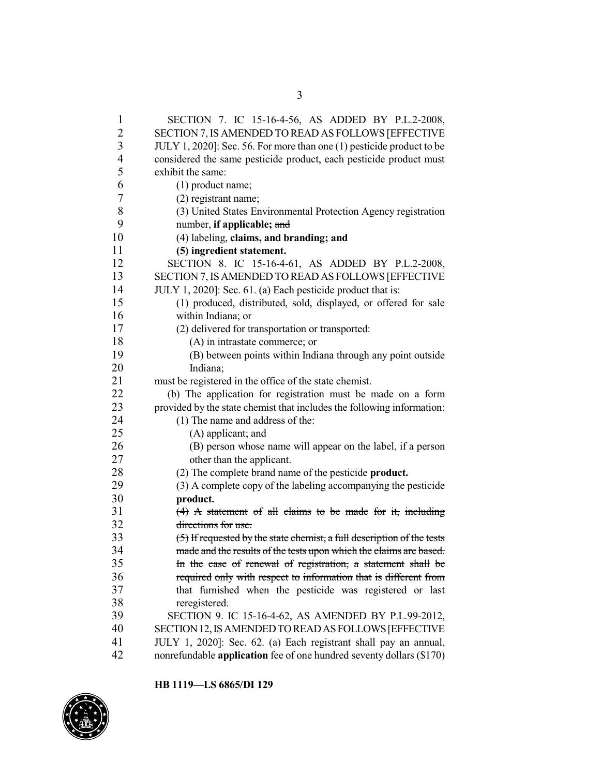| $\mathbf{1}$   | SECTION 7. IC 15-16-4-56, AS ADDED BY P.L.2-2008,                        |
|----------------|--------------------------------------------------------------------------|
| $\overline{2}$ | SECTION 7, IS AMENDED TO READ AS FOLLOWS [EFFECTIVE                      |
| $\mathfrak{Z}$ | JULY 1, 2020]: Sec. 56. For more than one (1) pesticide product to be    |
| $\overline{4}$ | considered the same pesticide product, each pesticide product must       |
| 5              | exhibit the same:                                                        |
| 6              | (1) product name;                                                        |
| 7              | (2) registrant name;                                                     |
| 8              | (3) United States Environmental Protection Agency registration           |
| 9              | number, if applicable; and                                               |
| 10             | (4) labeling, claims, and branding; and                                  |
| 11             | (5) ingredient statement.                                                |
| 12             | SECTION 8. IC 15-16-4-61, AS ADDED BY P.L.2-2008,                        |
| 13             | SECTION 7, IS AMENDED TO READ AS FOLLOWS [EFFECTIVE                      |
| 14             | JULY 1, 2020]: Sec. 61. (a) Each pesticide product that is:              |
| 15             | (1) produced, distributed, sold, displayed, or offered for sale          |
| 16             | within Indiana; or                                                       |
| 17             | (2) delivered for transportation or transported:                         |
| 18             | (A) in intrastate commerce; or                                           |
| 19             | (B) between points within Indiana through any point outside              |
| 20             | Indiana;                                                                 |
| 21             | must be registered in the office of the state chemist.                   |
| 22             | (b) The application for registration must be made on a form              |
| 23             | provided by the state chemist that includes the following information:   |
| 24             | (1) The name and address of the:                                         |
| 25             | (A) applicant; and                                                       |
| 26             | (B) person whose name will appear on the label, if a person              |
| 27             | other than the applicant.                                                |
| 28             | (2) The complete brand name of the pesticide <b>product.</b>             |
| 29             | (3) A complete copy of the labeling accompanying the pesticide           |
| 30             | product.                                                                 |
| 31             | $(4)$ A statement of all claims to be made for it, including             |
| 32             | directions for use.                                                      |
| 33             | $(5)$ If requested by the state chemist, a full description of the tests |
| 34             | made and the results of the tests upon which the claims are based.       |
| 35             | In the case of renewal of registration, a statement shall be             |
| 36             | required only with respect to information that is different from         |
| 37             | that furnished when the pesticide was registered or last                 |
| 38             | reregistered.                                                            |
| 39             | SECTION 9. IC 15-16-4-62, AS AMENDED BY P.L.99-2012,                     |
| 40             | SECTION 12, IS AMENDED TO READ AS FOLLOWS [EFFECTIVE                     |
| 41             | JULY 1, 2020]: Sec. 62. (a) Each registrant shall pay an annual,         |
| 42             | nonrefundable application fee of one hundred seventy dollars (\$170)     |

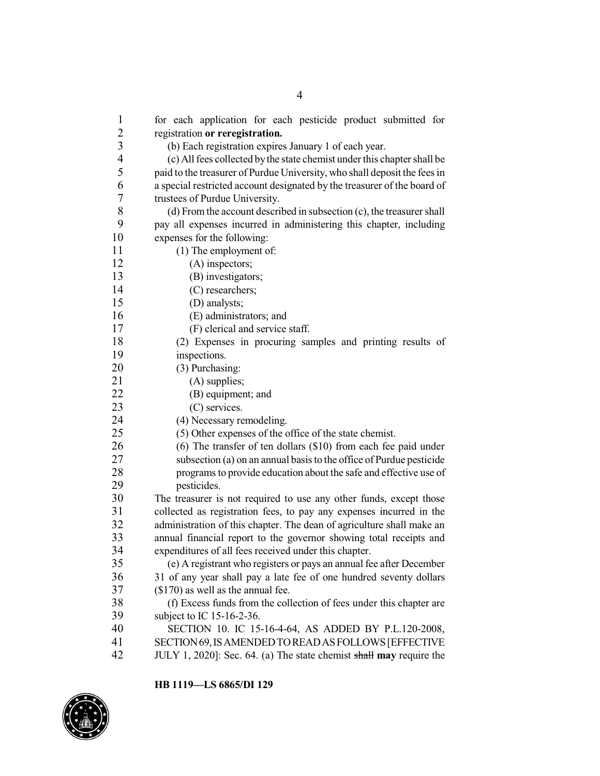for each application for each pesticide product submitted for registration **or reregistration.** (b) Each registration expires January 1 of each year. (c) Allfees collected bythe state chemist under this chapter shall be paid to the treasurer of Purdue University, who shall deposit the fees in a special restricted account designated by the treasurer of the board of trustees of Purdue University. 8 (d) From the account described in subsection (c), the treasurer shall<br>9  $\mu$  and subsection administering this chapter including pay all expenses incurred in administering this chapter, including expenses for the following: (1) The employment of: 12 (A) inspectors; (B) investigators; 14 (C) researchers;<br>15 (D) analysts: (D) analysts; (E) administrators; and (F) clerical and service staff. (2) Expenses in procuring samples and printing results of inspections. (3) Purchasing: 21 (A) supplies; (B) equipment; and 23 (C) services. 24 (4) Necessary remodeling. (5) Other expenses of the office of the state chemist. (6) The transfer of ten dollars (\$10) from each fee paid under subsection (a) on an annual basis to the office of Purdue pesticide programs to provide education about the safe and effective use of pesticides. The treasurer is not required to use any other funds, except those collected as registration fees, to pay any expenses incurred in the administration of this chapter. The dean of agriculture shall make an 33 annual financial report to the governor showing total receipts and expenditures of all fees received under this chapter. 34 expenditures of all fees received under this chapter.<br>35 (e) A registrant who registers or pays an annual fe (e) A registrant who registers or pays an annual fee after December 31 of any year shall pay a late fee of one hundred seventy dollars (\$170) as well as the annual fee. 38 (f) Excess funds from the collection of fees under this chapter are<br>39 subject to IC 15-16-2-36. subject to IC  $15-16-2-36$ . SECTION 10. IC 15-16-4-64, AS ADDED BY P.L.120-2008, SECTION69,ISAMENDEDTOREADASFOLLOWS[EFFECTIVE

JULY 1, 2020]: Sec. 64. (a) The state chemist shall **may** require the

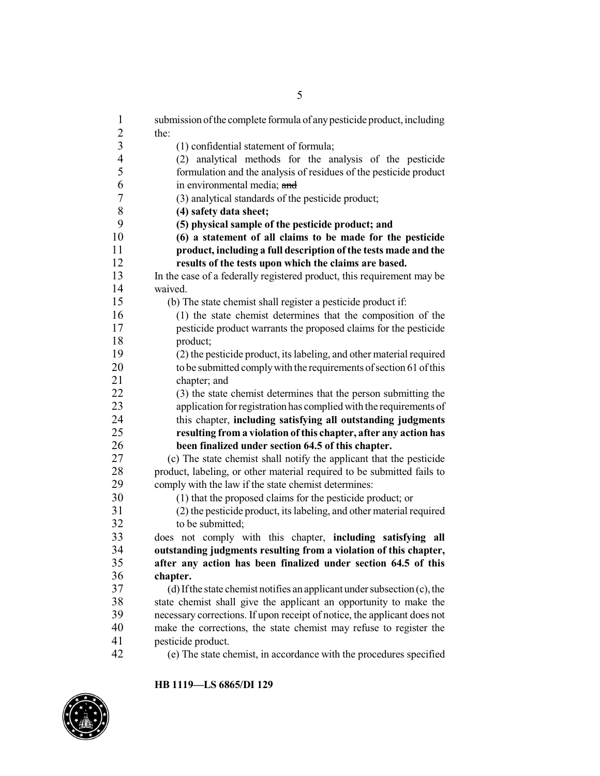| $\mathbf{1}$             | submission of the complete formula of any pesticide product, including      |
|--------------------------|-----------------------------------------------------------------------------|
| $\overline{c}$           | the:                                                                        |
| $\overline{3}$           | (1) confidential statement of formula;                                      |
| $\overline{\mathcal{L}}$ | (2) analytical methods for the analysis of the pesticide                    |
| 5                        | formulation and the analysis of residues of the pesticide product           |
| 6                        | in environmental media; and                                                 |
| $\overline{7}$           | (3) analytical standards of the pesticide product;                          |
| 8                        | (4) safety data sheet;                                                      |
| 9                        | (5) physical sample of the pesticide product; and                           |
| 10                       | (6) a statement of all claims to be made for the pesticide                  |
| 11                       | product, including a full description of the tests made and the             |
| 12                       | results of the tests upon which the claims are based.                       |
| 13                       | In the case of a federally registered product, this requirement may be      |
| 14                       | waived.                                                                     |
| 15                       | (b) The state chemist shall register a pesticide product if:                |
| 16                       | (1) the state chemist determines that the composition of the                |
| 17                       | pesticide product warrants the proposed claims for the pesticide            |
| 18                       | product;                                                                    |
| 19                       | (2) the pesticide product, its labeling, and other material required        |
| 20                       | to be submitted comply with the requirements of section 61 of this          |
| 21                       | chapter; and                                                                |
| 22                       | (3) the state chemist determines that the person submitting the             |
| 23                       | application for registration has complied with the requirements of          |
| 24                       | this chapter, including satisfying all outstanding judgments                |
| 25                       | resulting from a violation of this chapter, after any action has            |
| 26                       | been finalized under section 64.5 of this chapter.                          |
| 27                       | (c) The state chemist shall notify the applicant that the pesticide         |
| 28                       | product, labeling, or other material required to be submitted fails to      |
| 29                       | comply with the law if the state chemist determines:                        |
| 30                       | (1) that the proposed claims for the pesticide product; or                  |
| 31                       | (2) the pesticide product, its labeling, and other material required        |
| 32                       | to be submitted;                                                            |
| 33                       | does not comply with this chapter, including satisfying all                 |
| 34                       | outstanding judgments resulting from a violation of this chapter,           |
| 35                       | after any action has been finalized under section 64.5 of this              |
| 36                       | chapter.                                                                    |
| 37                       | (d) If the state chemist notifies an applicant under subsection $(c)$ , the |
| 38                       | state chemist shall give the applicant an opportunity to make the           |
| 39                       | necessary corrections. If upon receipt of notice, the applicant does not    |
| 40                       | make the corrections, the state chemist may refuse to register the          |
| 41                       | pesticide product.                                                          |
| 42                       | (e) The state chemist, in accordance with the procedures specified          |
|                          |                                                                             |

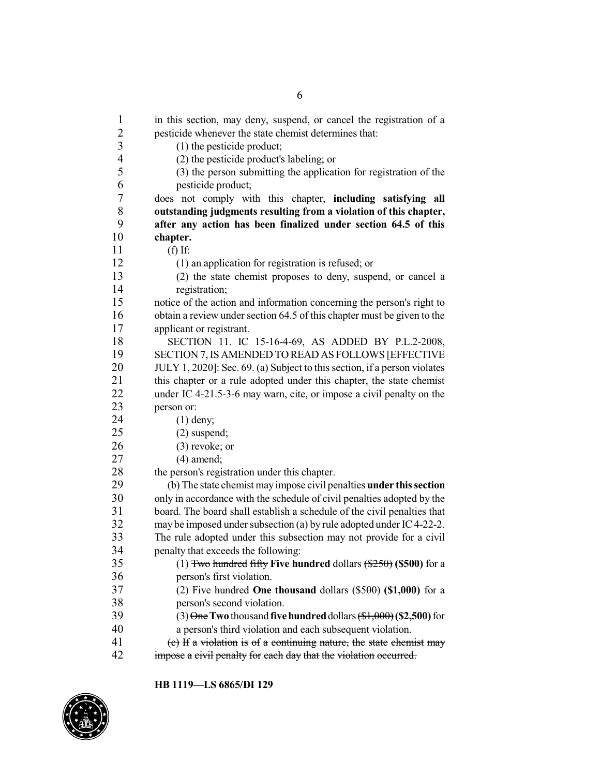1 in this section, may deny, suspend, or cancel the registration of a pesticide whenever the state chemist determines that: (1) the pesticide product; (2) the pesticide product's labeling; or 5 (3) the person submitting the application for registration of the pesticide product: pesticide product; does not comply with this chapter, **including satisfying all outstanding judgments resulting from a violation of this chapter, after any action has been finalized under section 64.5 of this chapter.** (f) If: 12 (1) an application for registration is refused; or<br>13 (2) the state chemist proposes to deny, suspending (2) the state chemist proposes to deny, suspend, or cancel a 14 registration;<br>15 notice of the action notice of the action and information concerning the person's right to obtain a review under section 64.5 of this chapter must be given to the applicant or registrant. SECTION 11. IC 15-16-4-69, AS ADDED BY P.L.2-2008, 19 SECTION 7, IS AMENDED TO READ AS FOLLOWS [EFFECTIVE<br>20 JULY 1. 20201: Sec. 69. (a) Subject to this section, if a person violates JULY 1, 2020]: Sec. 69. (a) Subject to this section, if a person violates 21 this chapter or a rule adopted under this chapter, the state chemist under IC 4-21.5-3-6 may warn, cite, or impose a civil penalty on the person or: (1) deny; (2) suspend; (3) revoke; or (4) amend; 28 the person's registration under this chapter.<br>29 (b) The state chemist may impose civil per 29 (b) The state chemist may impose civil penalties **under this section**<br>30 only in accordance with the schedule of civil penalties adopted by the only in accordance with the schedule of civil penalties adopted by the board. The board shall establish a schedule of the civil penalties that 32 may be imposed under subsection (a) by rule adopted under IC4-22-2. 33 The rule adopted under this subsection may not provide for a civil<br>34 penalty that exceeds the following: penalty that exceeds the following: (1) Two hundred fifty **Five hundred** dollars (\$250) **(\$500)** for a person's first violation. (2) Five hundred **One thousand** dollars (\$500) **(\$1,000)** for a 38 person's second violation.<br>39  $(3) \theta$  me Two thousand five (3) One**Two** thousand **fivehundred**dollars (\$1,000)**(\$2,500)**for a person's third violation and each subsequent violation. (c) If a violation is of a continuing nature, the state chemist may impose a civil penalty for each day that the violation occurred.

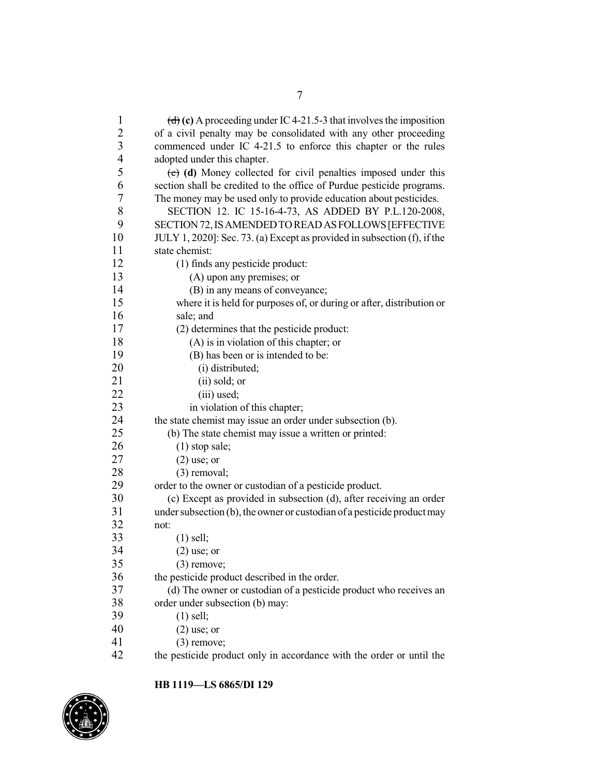| $\mathbf{1}$            | (d) (c) A proceeding under IC 4-21.5-3 that involves the imposition      |
|-------------------------|--------------------------------------------------------------------------|
| $\overline{\mathbf{c}}$ | of a civil penalty may be consolidated with any other proceeding         |
| $\overline{\mathbf{3}}$ | commenced under IC 4-21.5 to enforce this chapter or the rules           |
| $\overline{4}$          | adopted under this chapter.                                              |
| 5                       | $(e)$ (d) Money collected for civil penalties imposed under this         |
| 6                       | section shall be credited to the office of Purdue pesticide programs.    |
| 7                       | The money may be used only to provide education about pesticides.        |
| 8                       | SECTION 12. IC 15-16-4-73, AS ADDED BY P.L.120-2008,                     |
| 9                       | SECTION 72, IS AMENDED TO READ AS FOLLOWS [EFFECTIVE                     |
| 10                      | JULY 1, 2020]: Sec. 73. (a) Except as provided in subsection (f), if the |
| 11                      | state chemist:                                                           |
| 12                      | (1) finds any pesticide product:                                         |
| 13                      | (A) upon any premises; or                                                |
| 14                      | (B) in any means of conveyance;                                          |
| 15                      | where it is held for purposes of, or during or after, distribution or    |
| 16                      | sale; and                                                                |
| 17                      | (2) determines that the pesticide product:                               |
| 18                      | (A) is in violation of this chapter; or                                  |
| 19                      | (B) has been or is intended to be:                                       |
| 20                      | (i) distributed;                                                         |
| 21                      | (ii) sold; or                                                            |
| 22                      | (iii) used;                                                              |
| 23                      | in violation of this chapter;                                            |
| 24                      | the state chemist may issue an order under subsection (b).               |
| 25                      | (b) The state chemist may issue a written or printed:                    |
| 26                      | $(1)$ stop sale;                                                         |
| 27                      | $(2)$ use; or                                                            |
| 28                      | $(3)$ removal;                                                           |
| 29                      | order to the owner or custodian of a pesticide product.                  |
| 30                      | (c) Except as provided in subsection (d), after receiving an order       |
| 31                      | under subsection (b), the owner or custodian of a pesticide product may  |
| 32                      | not:                                                                     |
| 33                      | $(1)$ sell;                                                              |
| 34                      | $(2)$ use; or                                                            |
| 35                      | $(3)$ remove;                                                            |
| 36                      | the pesticide product described in the order.                            |
| 37                      | (d) The owner or custodian of a pesticide product who receives an        |
| 38                      | order under subsection (b) may:                                          |
| 39                      | $(1)$ sell;                                                              |
| 40                      | $(2)$ use; or                                                            |
| 41                      | $(3)$ remove;                                                            |
| 42                      | the pesticide product only in accordance with the order or until the     |

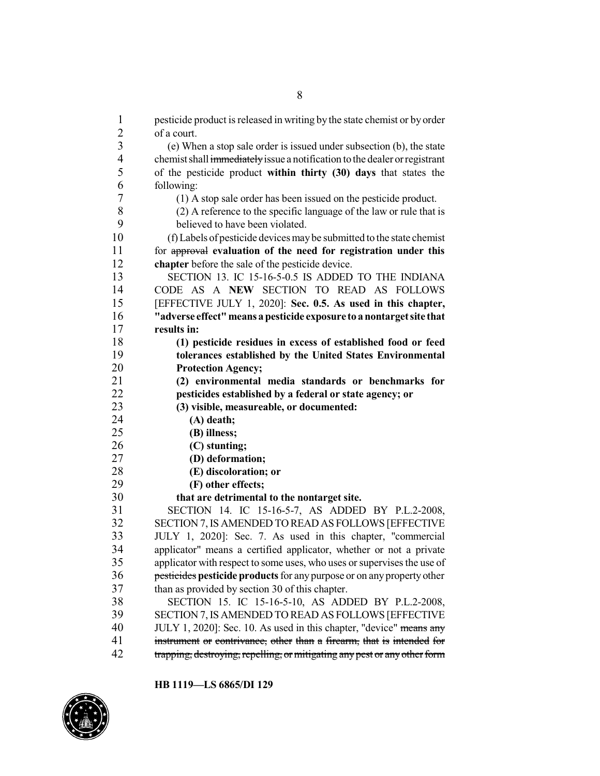| $\mathbf{1}$   | pesticide product is released in writing by the state chemist or by order  |
|----------------|----------------------------------------------------------------------------|
| $\overline{c}$ | of a court.                                                                |
| $\overline{3}$ | (e) When a stop sale order is issued under subsection (b), the state       |
| $\overline{4}$ | chemist shall immediately issue a notification to the dealer or registrant |
| 5              | of the pesticide product within thirty (30) days that states the           |
| 6              | following:                                                                 |
| $\tau$         | (1) A stop sale order has been issued on the pesticide product.            |
| $8\,$          | (2) A reference to the specific language of the law or rule that is        |
| 9              | believed to have been violated.                                            |
| 10             | (f) Labels of pesticide devices may be submitted to the state chemist      |
| 11             | for approval evaluation of the need for registration under this            |
| 12             | chapter before the sale of the pesticide device.                           |
| 13             | SECTION 13. IC 15-16-5-0.5 IS ADDED TO THE INDIANA                         |
| 14             | CODE AS A NEW SECTION TO READ AS FOLLOWS                                   |
| 15             | [EFFECTIVE JULY 1, 2020]: Sec. 0.5. As used in this chapter,               |
| 16             | "adverse effect" means a pesticide exposure to a nontarget site that       |
| 17             | results in:                                                                |
| 18             | (1) pesticide residues in excess of established food or feed               |
| 19             | tolerances established by the United States Environmental                  |
| 20             | <b>Protection Agency;</b>                                                  |
| 21             | (2) environmental media standards or benchmarks for                        |
| 22             | pesticides established by a federal or state agency; or                    |
| 23             | (3) visible, measureable, or documented:                                   |
| 24             | $(A)$ death;                                                               |
| 25             | (B) illness;                                                               |
| 26             | (C) stunting;                                                              |
| 27             | (D) deformation;                                                           |
| 28             | (E) discoloration; or                                                      |
| 29             | (F) other effects;                                                         |
| 30             | that are detrimental to the nontarget site.                                |
| 31             | SECTION 14. IC 15-16-5-7, AS ADDED BY P.L.2-2008,                          |
| 32             | SECTION 7, IS AMENDED TO READ AS FOLLOWS [EFFECTIVE                        |
| 33             | JULY 1, 2020]: Sec. 7. As used in this chapter, "commercial                |
| 34             | applicator" means a certified applicator, whether or not a private         |
| 35             | applicator with respect to some uses, who uses or supervises the use of    |
| 36             | pesticides pesticide products for any purpose or on any property other     |
| 37             | than as provided by section 30 of this chapter.                            |
| 38             | SECTION 15. IC 15-16-5-10, AS ADDED BY P.L.2-2008,                         |
| 39             | SECTION 7, IS AMENDED TO READ AS FOLLOWS [EFFECTIVE                        |
| 40             | JULY 1, 2020]: Sec. 10. As used in this chapter, "device" means any        |
| 41             | instrument or contrivance, other than a firearm, that is intended for      |
| 42             |                                                                            |
|                | trapping, destroying, repelling, or mitigating any pest or any other form  |

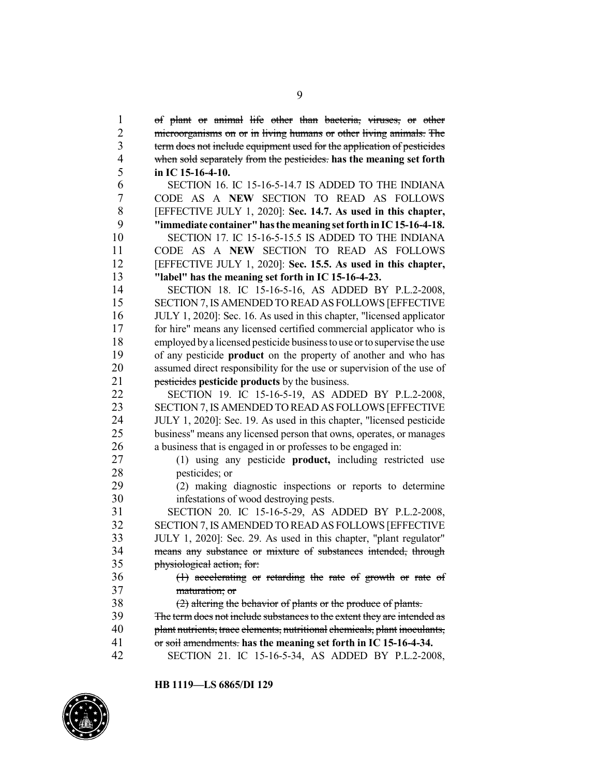of plant or animal life other than bacteria, viruses, or other 2 microorganisms on or in living humans or other living animals. The term does not include equipment used for the application of pesticides when sold separately from the pesticides. **has the meaning set forth in IC 15-16-4-10.**

 SECTION 16. IC 15-16-5-14.7 IS ADDED TO THE INDIANA CODE AS A **NEW** SECTION TO READ AS FOLLOWS [EFFECTIVE JULY 1, 2020]: **Sec. 14.7. As used in this chapter, "immediate container"hasthe meaning set forth inIC15-16-4-18.** SECTION 17. IC 15-16-5-15.5 IS ADDED TO THE INDIANA CODE AS A **NEW** SECTION TO READ AS FOLLOWS [EFFECTIVE JULY 1, 2020]: **Sec. 15.5. As used in this chapter, "label" has the meaning set forth in IC 15-16-4-23.**

14 SECTION 18. IC 15-16-5-16, AS ADDED BY P.L.2-2008,<br>15 SECTION 7. IS AMENDED TO READ AS FOLLOWS JEFFECTIVE SECTION 7, IS AMENDED TO READ AS FOLLOWS [EFFECTIVE JULY 1, 2020]: Sec. 16. As used in this chapter, "licensed applicator for hire" means any licensed certified commercial applicator who is employed bya licensed pesticide businessto use or to supervise the use of any pesticide **product** on the property of another and who has assumed direct responsibility for the use or supervision of the use of pesticides **pesticide products** by the business.

 SECTION 19. IC 15-16-5-19, AS ADDED BY P.L.2-2008, 23 SECTION 7, IS AMENDED TO READ AS FOLLOWS [EFFECTIVE<br>24 HH Y 1 2020l: Sec. 19 As used in this chapter "licensed pesticide JULY 1, 2020]: Sec. 19. As used in this chapter, "licensed pesticide business" means any licensed person that owns, operates, or manages a business that is engaged in or professes to be engaged in:

 (1) using any pesticide **product,** including restricted use 28 pesticides; or<br>29 (2) making

 (2) making diagnostic inspections or reports to determine infestations of wood destroying pests.

 SECTION 20. IC 15-16-5-29, AS ADDED BY P.L.2-2008, SECTION 7,IS AMENDED TO READ AS FOLLOWS [EFFECTIVE JULY 1, 2020]: Sec. 29. As used in this chapter, "plant regulator" means any substance or mixture of substances intended, through physiological action, for:

 (1) accelerating or retarding the rate of growth or rate of maturation; or

(2) altering the behavior of plants or the produce of plants.

 The termdoes not include substancesto the extent they are intended as plant nutrients, trace elements, nutritional chemicals, plant inoculants,

or soil amendments. **has the meaning set forth in IC 15-16-4-34.**

SECTION 21. IC 15-16-5-34, AS ADDED BY P.L.2-2008,

**HB 1119—LS 6865/DI 129**

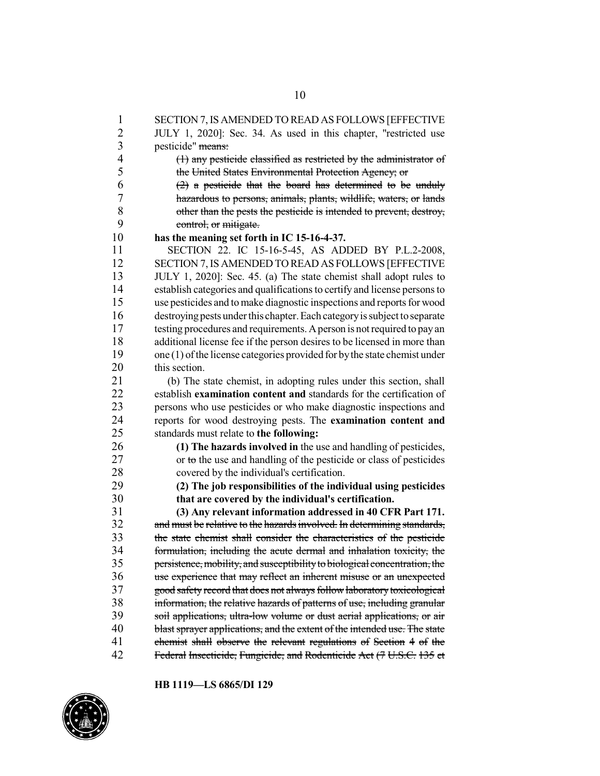1 SECTION 7,IS AMENDED TO READ AS FOLLOWS [EFFECTIVE 2 JULY 1, 2020]: Sec. 34. As used in this chapter, "restricted use 3 pesticide" means: 4 (1) any pesticide classified as restricted by the administrator of 5 the United States Environmental Protection Agency; or<br>6 (2) a pesticide that the board has determined to be  $(2)$  a pesticide that the board has determined to be unduly 7 hazardous to persons, animals, plants, wildlife, waters, or lands<br>8 other than the pests the pesticide is intended to prevent, destroy, 8 other than the pests the pesticide is intended to prevent, destroy,<br>9 control or mitigate 9 control, or mitigate.<br>10 has the meaning set fort 10 **has the meaning set forth in IC 15-16-4-37.** 11 SECTION 22. IC 15-16-5-45, AS ADDED BY P.L.2-2008, 12 SECTION 7, IS AMENDED TO READ AS FOLLOWS [EFFECTIVE<br>13 JULY 1, 2020]: Sec. 45, (a) The state chemist shall adopt rules to 13 JULY 1, 2020]: Sec. 45. (a) The state chemist shall adopt rules to 14 establish categories and qualificationsto certify and license personsto 15 use pesticides and tomake diagnostic inspections and reports for wood 16 destroyingpests under this chapter.Each categoryissubject toseparate 17 testing procedures and requirements. Aperson is not required to payan 18 additional license fee if the person desires to be licensed in more than 19 one (1) of the license categories provided for by the state chemist under<br>20 this section. this section. 21 (b) The state chemist, in adopting rules under this section, shall<br>22 establish **examination content and** standards for the certification of establish **examination content and** standards for the certification of 23 persons who use pesticides or who make diagnostic inspections and 24 reports for wood destroying pests. The **examination content and** 25 standards must relate to **the following:** 26 **(1) The hazards involved in** the use and handling of pesticides, 27 or to the use and handling of the pesticide or class of pesticides 28 covered by the individual's certification. 29 **(2) The job responsibilities of the individual using pesticides** 30 **that are covered by the individual's certification.** 31 **(3) Any relevant information addressed in 40 CFR Part 171.** and must be relative to the hazards involved. In determining standards, 33 the state chemist shall consider the characteristics of the pesticide<br>34 formulation: including the acute dermal and inhalation toxicity; the 34 formulation, including the acute dermal and inhalation toxicity, the<br>35 mersistence mobility and susceptibility to biological concentration, the persistence, mobility, and susceptibility to biological concentration, the 36 use experience that may reflect an inherent misuse or an unexpected 37 good safety record that does not always follow laboratory toxicological 38 information, the relative hazards of patterns of use, including granular<br>39 soil applications, ultra-low volume or dust aerial applications, or air soil applications, ultra-low volume or dust aerial applications, or air 40 blast sprayer applications, and the extent of the intended use. The state 41 chemist shall observe the relevant regulations of Section 4 of the 42 Federal Insecticide, Fungicide, and Rodenticide Act (7 U.S.C. 135 et

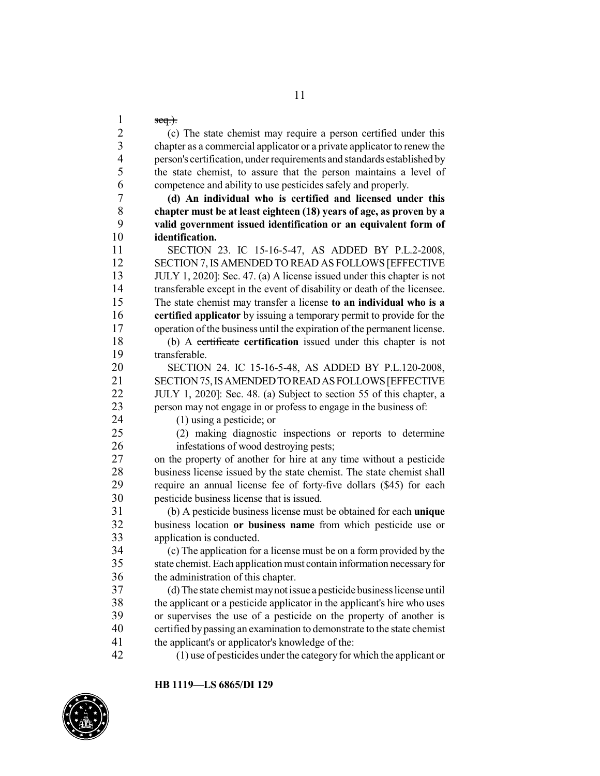seq.).

 (c) The state chemist may require a person certified under this chapter as a commercial applicator or a private applicator to renew the person's certification, under requirements and standards established by the state chemist, to assure that the person maintains a level of competence and ability to use pesticides safely and properly.

 **(d) An individual who is certified and licensed under this chapter must be at least eighteen (18) years of age, as proven by a valid government issued identification or an equivalent form of identification.**

 SECTION 23. IC 15-16-5-47, AS ADDED BY P.L.2-2008, SECTION 7,IS AMENDED TO READ AS FOLLOWS [EFFECTIVE JULY 1, 2020]: Sec. 47. (a) A license issued under this chapter is not 14 transferable except in the event of disability or death of the licensee.<br>15 The state chemist may transfer a license to an individual who is a The state chemist may transfer a license **to an individual who is a certified applicator** by issuing a temporary permit to provide for the operation of the business until the expiration of the permanent license.

 (b) A certificate **certification** issued under this chapter is not 19 transferable.<br>20 SECTION

 SECTION 24. IC 15-16-5-48, AS ADDED BY P.L.120-2008, 21 SECTION 75, IS AMENDED TO READ AS FOLLOWS [EFFECTIVE<br>22 JULY 1, 20201: Sec. 48, (a) Subject to section 55 of this chanter, a JULY 1, 2020]: Sec. 48. (a) Subject to section 55 of this chapter, a person may not engage in or profess to engage in the business of:

(1) using a pesticide; or

 (2) making diagnostic inspections or reports to determine infestations of wood destroying pests;

 on the property of another for hire at any time without a pesticide 28 business license issued by the state chemist. The state chemist shall<br>29 require an annual license fee of forty-five dollars (\$45) for each require an annual license fee of forty-five dollars (\$45) for each pesticide business license that is issued.

 (b) A pesticide business license must be obtained for each **unique** business location **or business name** from which pesticide use or 33 application is conducted.<br>34 (c) The application for

34 (c) The application for a license must be on a form provided by the state chemist. Each application must contain information necessary for state chemist. Each application must contain information necessary for the administration of this chapter.

 (d) The state chemist maynot issue a pesticide businesslicense until 38 the applicant or a pesticide applicator in the applicant's hire who uses<br>39 or supervises the use of a pesticide on the property of another is or supervises the use of a pesticide on the property of another is certified by passing an examination to demonstrate to the state chemist the applicant's or applicator's knowledge of the:

(1) use of pesticides under the category for which the applicant or

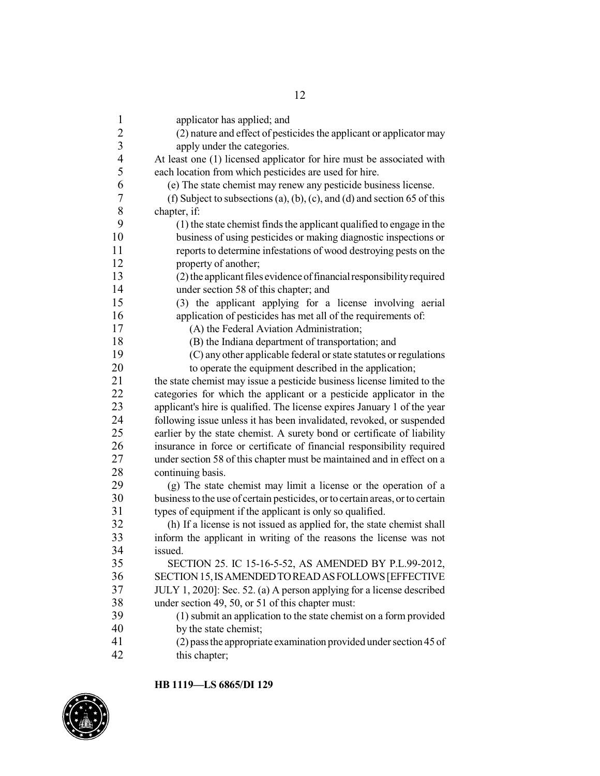| $\mathbf{1}$   | applicator has applied; and                                                   |
|----------------|-------------------------------------------------------------------------------|
|                | (2) nature and effect of pesticides the applicant or applicator may           |
| $\frac{2}{3}$  | apply under the categories.                                                   |
| $\overline{4}$ | At least one (1) licensed applicator for hire must be associated with         |
| 5              | each location from which pesticides are used for hire.                        |
| 6              | (e) The state chemist may renew any pesticide business license.               |
| 7              | (f) Subject to subsections (a), (b), (c), and (d) and section 65 of this      |
| 8              | chapter, if:                                                                  |
| 9              | (1) the state chemist finds the applicant qualified to engage in the          |
| 10             | business of using pesticides or making diagnostic inspections or              |
| 11             | reports to determine infestations of wood destroying pests on the             |
| 12             | property of another;                                                          |
| 13             | (2) the applicant files evidence of financial responsibility required         |
| 14             | under section 58 of this chapter; and                                         |
| 15             | (3) the applicant applying for a license involving aerial                     |
| 16             | application of pesticides has met all of the requirements of:                 |
| 17             | (A) the Federal Aviation Administration;                                      |
| 18             | (B) the Indiana department of transportation; and                             |
| 19             | (C) any other applicable federal or state statutes or regulations             |
| 20             | to operate the equipment described in the application;                        |
| 21             | the state chemist may issue a pesticide business license limited to the       |
| 22             | categories for which the applicant or a pesticide applicator in the           |
| 23             | applicant's hire is qualified. The license expires January 1 of the year      |
| 24             | following issue unless it has been invalidated, revoked, or suspended         |
| 25             | earlier by the state chemist. A surety bond or certificate of liability       |
| 26             | insurance in force or certificate of financial responsibility required        |
| 27             | under section 58 of this chapter must be maintained and in effect on a        |
| 28             | continuing basis.                                                             |
| 29             | (g) The state chemist may limit a license or the operation of a               |
| 30             | business to the use of certain pesticides, or to certain areas, or to certain |
| 31             | types of equipment if the applicant is only so qualified.                     |
| 32             | (h) If a license is not issued as applied for, the state chemist shall        |
| 33             | inform the applicant in writing of the reasons the license was not            |
| 34             | issued.                                                                       |
| 35             | SECTION 25. IC 15-16-5-52, AS AMENDED BY P.L.99-2012,                         |
| 36             | SECTION 15, IS AMENDED TO READ AS FOLLOWS [EFFECTIVE                          |
| 37             | JULY 1, 2020]: Sec. 52. (a) A person applying for a license described         |
| 38             | under section 49, 50, or 51 of this chapter must:                             |
| 39             | (1) submit an application to the state chemist on a form provided             |
| 40             | by the state chemist;                                                         |
| 41             | (2) pass the appropriate examination provided under section 45 of             |
| 42             | this chapter;                                                                 |

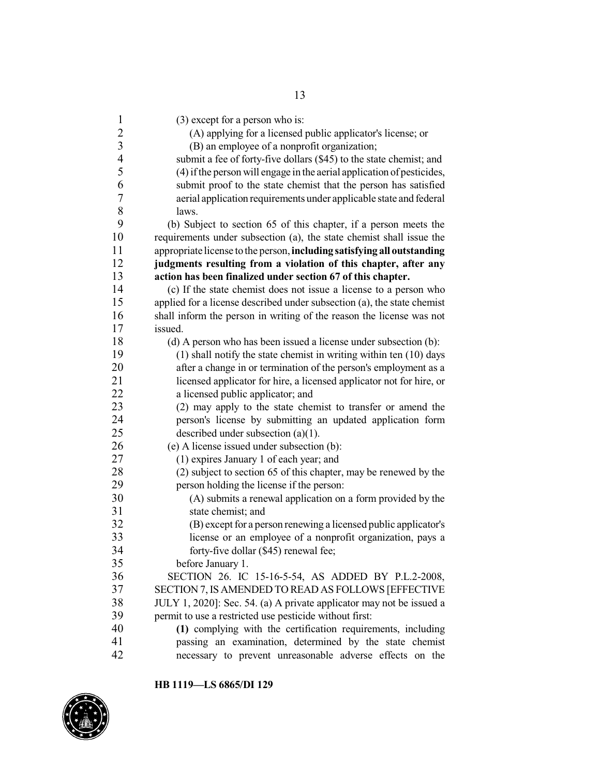(3) except for a person who is: (A) applying for a licensed public applicator's license; or (B) an employee of a nonprofit organization; submit a fee of forty-five dollars (\$45) to the state chemist; and (4) ifthe person will engage in the aerial application of pesticides, submit proof to the state chemist that the person has satisfied aerial application requirements under applicable state and federal  $\begin{array}{ccc} 8 & \text{laws.} \\ 9 & \text{(b) Sub.} \end{array}$  (b) Subject to section 65 of this chapter, if a person meets the requirements under subsection (a), the state chemist shall issue the appropriate license to the person,**including satisfying all outstanding judgments resulting from a violation of this chapter, after any action has been finalized under section 67 of this chapter.** (c) If the state chemist does not issue a license to a person who applied for a license described under subsection (a), the state chemist shall inform the person in writing of the reason the license was not issued. (d) A person who has been issued a license under subsection (b): (1) shall notify the state chemist in writing within ten (10) days 20 after a change in or termination of the person's employment as a licensed applicator for hire, a licensed applicator not for hire, or 22 a licensed public applicator; and (2) may apply to the state chemist to transfer or amend the person's license by submitting an updated application form described under subsection (a)(1). (e) A license issued under subsection (b): (1) expires January 1 of each year; and 28 (2) subject to section 65 of this chapter, may be renewed by the person holding the license if the person: person holding the license if the person: (A) submits a renewal application on a form provided by the state chemist; and 32 (B) except for a person renewing a licensed public applicator's 33 license or an employee of a nonprofit organization, pays a<br>34 forty-five dollar (\$45) renewal fee: forty-five dollar (\$45) renewal fee; before January 1. 36 SECTION 26. IC 15-16-5-54, AS ADDED BY P.L.2-2008,<br>37 SECTION 7 IS AMENDED TO READ AS FOLLOWS JEFFECTIVE SECTION 7, IS AMENDED TO READ AS FOLLOWS [EFFECTIVE JULY 1, 2020]: Sec. 54. (a) A private applicator may not be issued a permit to use a restricted use pesticide without first: **(1)** complying with the certification requirements, including passing an examination, determined by the state chemist necessary to prevent unreasonable adverse effects on the

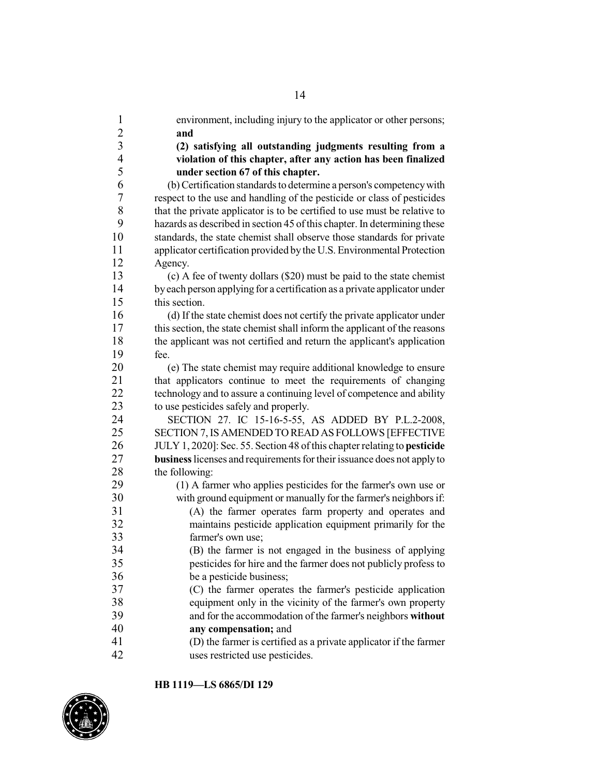| $\mathbf{1}$             | environment, including injury to the applicator or other persons;         |
|--------------------------|---------------------------------------------------------------------------|
| $\overline{c}$           | and                                                                       |
| $\overline{\mathbf{3}}$  | (2) satisfying all outstanding judgments resulting from a                 |
| $\overline{\mathcal{A}}$ | violation of this chapter, after any action has been finalized            |
| 5                        | under section 67 of this chapter.                                         |
| 6                        | (b) Certification standards to determine a person's competency with       |
| $\boldsymbol{7}$         | respect to the use and handling of the pesticide or class of pesticides   |
| 8                        | that the private applicator is to be certified to use must be relative to |
| 9                        | hazards as described in section 45 of this chapter. In determining these  |
| 10                       | standards, the state chemist shall observe those standards for private    |
| 11                       | applicator certification provided by the U.S. Environmental Protection    |
| 12                       | Agency.                                                                   |
| 13                       | (c) A fee of twenty dollars (\$20) must be paid to the state chemist      |
| 14                       | by each person applying for a certification as a private applicator under |
| 15                       | this section.                                                             |
| 16                       | (d) If the state chemist does not certify the private applicator under    |
| 17                       | this section, the state chemist shall inform the applicant of the reasons |
| 18                       | the applicant was not certified and return the applicant's application    |
| 19                       | fee.                                                                      |
| 20                       | (e) The state chemist may require additional knowledge to ensure          |
| 21                       | that applicators continue to meet the requirements of changing            |
| 22                       | technology and to assure a continuing level of competence and ability     |
| 23                       | to use pesticides safely and properly.                                    |
| 24                       | SECTION 27. IC 15-16-5-55, AS ADDED BY P.L.2-2008,                        |
| 25                       | SECTION 7, IS AMENDED TO READ AS FOLLOWS [EFFECTIVE                       |
| 26                       | JULY 1, 2020]: Sec. 55. Section 48 of this chapter relating to pesticide  |
| 27                       | business licenses and requirements for their issuance does not apply to   |
| 28                       | the following:                                                            |
| 29                       | (1) A farmer who applies pesticides for the farmer's own use or           |
| 30                       | with ground equipment or manually for the farmer's neighbors if:          |
| 31                       | (A) the farmer operates farm property and operates and                    |
| 32                       | maintains pesticide application equipment primarily for the               |
| 33                       | farmer's own use;                                                         |
| 34                       | (B) the farmer is not engaged in the business of applying                 |
| 35                       | pesticides for hire and the farmer does not publicly profess to           |
| 36                       | be a pesticide business;                                                  |
| 37                       | (C) the farmer operates the farmer's pesticide application                |
| 38                       | equipment only in the vicinity of the farmer's own property               |
| 39                       | and for the accommodation of the farmer's neighbors without               |
| 40                       | any compensation; and                                                     |
| 41                       | (D) the farmer is certified as a private applicator if the farmer         |
| 42                       | uses restricted use pesticides.                                           |

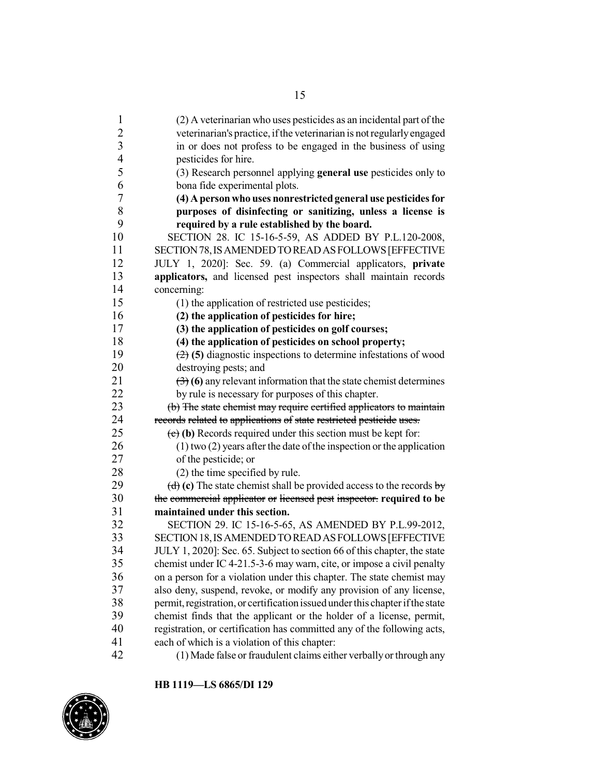| $\mathbf{1}$   | (2) A veterinarian who uses pesticides as an incidental part of the                       |
|----------------|-------------------------------------------------------------------------------------------|
| 2              | veterinarian's practice, if the veterinarian is not regularly engaged                     |
| 3              | in or does not profess to be engaged in the business of using                             |
| $\overline{4}$ | pesticides for hire.                                                                      |
| 5              | (3) Research personnel applying general use pesticides only to                            |
| 6              | bona fide experimental plots.                                                             |
| 7              | (4) A person who uses nonrestricted general use pesticides for                            |
| 8              | purposes of disinfecting or sanitizing, unless a license is                               |
| 9              | required by a rule established by the board.                                              |
| 10             | SECTION 28. IC 15-16-5-59, AS ADDED BY P.L.120-2008,                                      |
| 11             | SECTION 78, IS AMENDED TO READ AS FOLLOWS [EFFECTIVE                                      |
| 12             | JULY 1, 2020]: Sec. 59. (a) Commercial applicators, private                               |
| 13             | applicators, and licensed pest inspectors shall maintain records                          |
| 14             | concerning:                                                                               |
| 15             | (1) the application of restricted use pesticides;                                         |
| 16             | (2) the application of pesticides for hire;                                               |
| 17             | (3) the application of pesticides on golf courses;                                        |
| 18             | (4) the application of pesticides on school property;                                     |
| 19             | $(2)$ (5) diagnostic inspections to determine infestations of wood                        |
| 20             | destroying pests; and                                                                     |
| 21             | $\left(\frac{1}{2}\right)$ (6) any relevant information that the state chemist determines |
| 22             | by rule is necessary for purposes of this chapter.                                        |
| 23             | (b) The state chemist may require eertified applicators to maintain                       |
| 24             | records related to applications of state restricted pesticide uses.                       |
| 25             | $(e)$ (b) Records required under this section must be kept for:                           |
| 26             | $(1)$ two $(2)$ years after the date of the inspection or the application                 |
| 27             | of the pesticide; or                                                                      |
| 28             | (2) the time specified by rule.                                                           |
| 29             | (d) (c) The state chemist shall be provided access to the records $\frac{1}{y}$           |
| 30             | the commercial applicator or licensed pest inspector. required to be                      |
| 31             | maintained under this section.                                                            |
| 32             | SECTION 29. IC 15-16-5-65, AS AMENDED BY P.L.99-2012,                                     |
| 33             | SECTION 18, IS AMENDED TO READ AS FOLLOWS [EFFECTIVE                                      |
| 34             | JULY 1, 2020]: Sec. 65. Subject to section 66 of this chapter, the state                  |
| 35             | chemist under IC 4-21.5-3-6 may warn, cite, or impose a civil penalty                     |
| 36             | on a person for a violation under this chapter. The state chemist may                     |
| 37             | also deny, suspend, revoke, or modify any provision of any license,                       |
| 38             | permit, registration, or certification issued under this chapter if the state             |
| 39             | chemist finds that the applicant or the holder of a license, permit,                      |
| 40             | registration, or certification has committed any of the following acts,                   |
| 41             | each of which is a violation of this chapter:                                             |
| 42             | (1) Made false or fraudulent claims either verbally or through any                        |

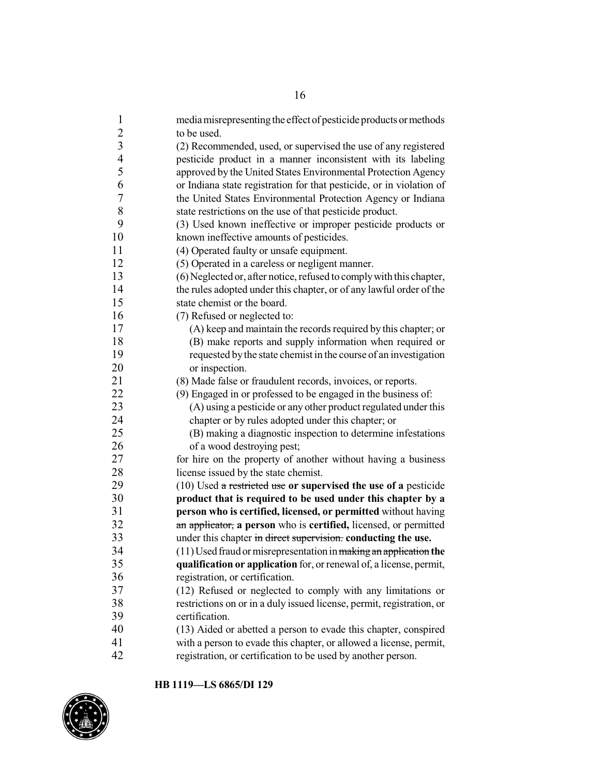| $\mathbf{1}$             | media misrepresenting the effect of pesticide products or methods     |
|--------------------------|-----------------------------------------------------------------------|
|                          | to be used.                                                           |
| $\frac{2}{3}$            | (2) Recommended, used, or supervised the use of any registered        |
| $\overline{\mathcal{A}}$ | pesticide product in a manner inconsistent with its labeling          |
| 5                        | approved by the United States Environmental Protection Agency         |
| 6                        | or Indiana state registration for that pesticide, or in violation of  |
| $\boldsymbol{7}$         | the United States Environmental Protection Agency or Indiana          |
| 8                        | state restrictions on the use of that pesticide product.              |
| 9                        | (3) Used known ineffective or improper pesticide products or          |
| 10                       | known ineffective amounts of pesticides.                              |
| 11                       | (4) Operated faulty or unsafe equipment.                              |
| 12                       | (5) Operated in a careless or negligent manner.                       |
| 13                       | (6) Neglected or, after notice, refused to comply with this chapter,  |
| 14                       | the rules adopted under this chapter, or of any lawful order of the   |
| 15                       | state chemist or the board.                                           |
| 16                       | (7) Refused or neglected to:                                          |
| 17                       | (A) keep and maintain the records required by this chapter; or        |
| 18                       | (B) make reports and supply information when required or              |
| 19                       | requested by the state chemist in the course of an investigation      |
| 20                       | or inspection.                                                        |
| 21                       | (8) Made false or fraudulent records, invoices, or reports.           |
| 22                       | (9) Engaged in or professed to be engaged in the business of:         |
| 23                       | (A) using a pesticide or any other product regulated under this       |
| 24                       | chapter or by rules adopted under this chapter; or                    |
| 25                       | (B) making a diagnostic inspection to determine infestations          |
| 26                       | of a wood destroying pest;                                            |
| 27                       | for hire on the property of another without having a business         |
| 28                       | license issued by the state chemist.                                  |
| 29                       | $(10)$ Used a restricted use or supervised the use of a pesticide     |
| 30                       | product that is required to be used under this chapter by a           |
| 31                       | person who is certified, licensed, or permitted without having        |
| 32                       | an applicator, a person who is certified, licensed, or permitted      |
| 33                       | under this chapter in direct supervision. conducting the use.         |
| 34                       | $(11)$ Used fraud or misrepresentation in making an application the   |
| 35                       | qualification or application for, or renewal of, a license, permit,   |
| 36                       | registration, or certification.                                       |
| 37                       | (12) Refused or neglected to comply with any limitations or           |
| 38                       | restrictions on or in a duly issued license, permit, registration, or |
| 39                       | certification.                                                        |
| 40                       | (13) Aided or abetted a person to evade this chapter, conspired       |
| 41                       | with a person to evade this chapter, or allowed a license, permit,    |
| 42                       | registration, or certification to be used by another person.          |

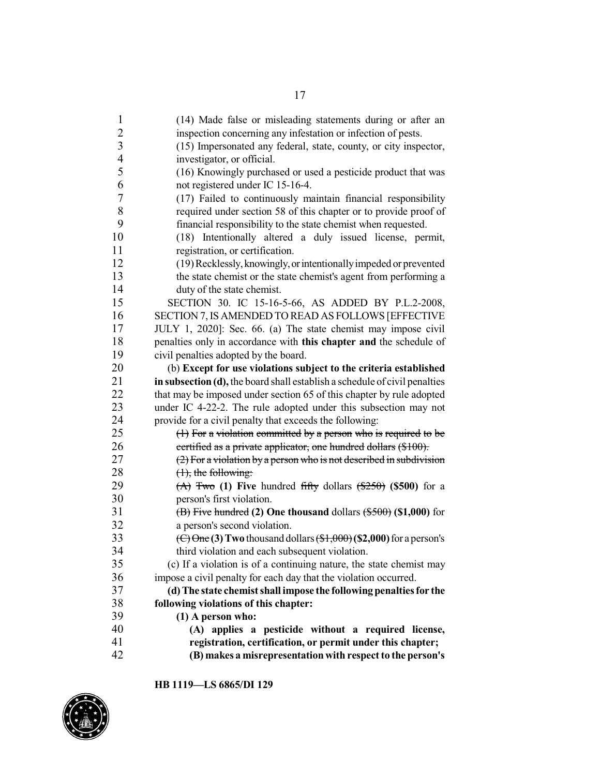| $\mathbf{1}$   | (14) Made false or misleading statements during or after an                                                    |
|----------------|----------------------------------------------------------------------------------------------------------------|
| $\overline{c}$ | inspection concerning any infestation or infection of pests.                                                   |
| $\overline{3}$ | (15) Impersonated any federal, state, county, or city inspector,                                               |
| $\overline{4}$ | investigator, or official.                                                                                     |
| 5              | (16) Knowingly purchased or used a pesticide product that was                                                  |
| 6              | not registered under IC 15-16-4.                                                                               |
| 7              | (17) Failed to continuously maintain financial responsibility                                                  |
| $\,8\,$        | required under section 58 of this chapter or to provide proof of                                               |
| 9              | financial responsibility to the state chemist when requested.                                                  |
| 10             | (18) Intentionally altered a duly issued license, permit,                                                      |
| 11             | registration, or certification.                                                                                |
| 12             | (19) Recklessly, knowingly, or intentionally impeded or prevented                                              |
| 13             | the state chemist or the state chemist's agent from performing a                                               |
| 14             | duty of the state chemist.                                                                                     |
| 15             | SECTION 30. IC 15-16-5-66, AS ADDED BY P.L.2-2008,                                                             |
| 16             | SECTION 7, IS AMENDED TO READ AS FOLLOWS [EFFECTIVE                                                            |
| 17             | JULY 1, 2020]: Sec. 66. (a) The state chemist may impose civil                                                 |
| 18             | penalties only in accordance with this chapter and the schedule of                                             |
| 19             | civil penalties adopted by the board.                                                                          |
| 20             | (b) Except for use violations subject to the criteria established                                              |
| 21             | in subsection (d), the board shall establish a schedule of civil penalties                                     |
| 22             | that may be imposed under section 65 of this chapter by rule adopted                                           |
| 23             | under IC 4-22-2. The rule adopted under this subsection may not                                                |
| 24             | provide for a civil penalty that exceeds the following:                                                        |
| 25             | $(1)$ For a violation committed by a person who is required to be                                              |
| 26             | certified as a private applicator, one hundred dollars (\$100).                                                |
| 27             | $(2)$ For a violation by a person who is not described in subdivision                                          |
| 28             | $(1)$ , the following:                                                                                         |
| 29             | $(A)$ Two (1) Five hundred fifty dollars $(\frac{250}{9})$ (\$500) for a                                       |
| 30             | person's first violation.                                                                                      |
| 31             | $\overline{AB}$ Five hundred (2) One thousand dollars $(*500)$ (\$1,000) for                                   |
| 32             | a person's second violation.                                                                                   |
| 33             | $\left(\frac{C}{C}\right)$ One (3) Two thousand dollars $\left(\frac{1000}{C}\right)$ (\$2,000) for a person's |
| 34             | third violation and each subsequent violation.                                                                 |
| 35             | (c) If a violation is of a continuing nature, the state chemist may                                            |
| 36             | impose a civil penalty for each day that the violation occurred.                                               |
| 37             | (d) The state chemist shall impose the following penalties for the                                             |
| 38             | following violations of this chapter:                                                                          |
| 39             | $(1)$ A person who:                                                                                            |
| 40             | (A) applies a pesticide without a required license,                                                            |
| 41             | registration, certification, or permit under this chapter;                                                     |
| 42             | (B) makes a misrepresentation with respect to the person's                                                     |

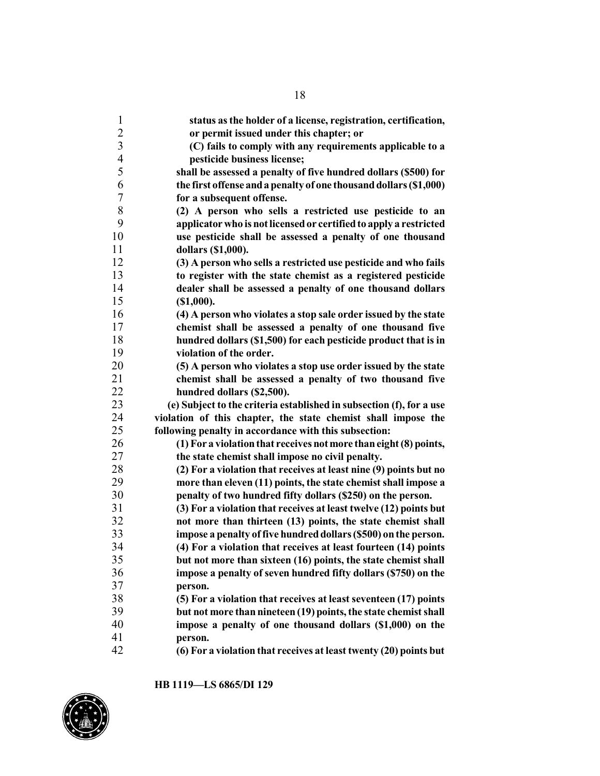| 1                        | status as the holder of a license, registration, certification,      |
|--------------------------|----------------------------------------------------------------------|
| $\overline{2}$           | or permit issued under this chapter; or                              |
| $\overline{3}$           | (C) fails to comply with any requirements applicable to a            |
| $\overline{\mathcal{A}}$ | pesticide business license;                                          |
| 5                        | shall be assessed a penalty of five hundred dollars (\$500) for      |
| 6                        | the first offense and a penalty of one thousand dollars (\$1,000)    |
| 7                        | for a subsequent offense.                                            |
| 8                        | (2) A person who sells a restricted use pesticide to an              |
| 9                        | applicator who is not licensed or certified to apply a restricted    |
| 10                       | use pesticide shall be assessed a penalty of one thousand            |
| 11                       | dollars (\$1,000).                                                   |
| 12                       | (3) A person who sells a restricted use pesticide and who fails      |
| 13                       | to register with the state chemist as a registered pesticide         |
| 14                       | dealer shall be assessed a penalty of one thousand dollars           |
| 15                       | (\$1,000).                                                           |
| 16                       | (4) A person who violates a stop sale order issued by the state      |
| 17                       | chemist shall be assessed a penalty of one thousand five             |
| 18                       | hundred dollars (\$1,500) for each pesticide product that is in      |
| 19                       | violation of the order.                                              |
| 20                       | (5) A person who violates a stop use order issued by the state       |
| 21                       | chemist shall be assessed a penalty of two thousand five             |
| 22                       | hundred dollars (\$2,500).                                           |
| 23                       | (e) Subject to the criteria established in subsection (f), for a use |
| 24                       | violation of this chapter, the state chemist shall impose the        |
| 25                       | following penalty in accordance with this subsection:                |
| 26                       | (1) For a violation that receives not more than eight (8) points,    |
| 27                       | the state chemist shall impose no civil penalty.                     |
| 28                       | (2) For a violation that receives at least nine (9) points but no    |
| 29                       | more than eleven (11) points, the state chemist shall impose a       |
| 30                       | penalty of two hundred fifty dollars (\$250) on the person.          |
| 31                       | (3) For a violation that receives at least twelve (12) points but    |
| 32                       | not more than thirteen (13) points, the state chemist shall          |
| 33                       | impose a penalty of five hundred dollars (\$500) on the person.      |
| 34                       | (4) For a violation that receives at least fourteen (14) points      |
| 35                       | but not more than sixteen (16) points, the state chemist shall       |
| 36                       | impose a penalty of seven hundred fifty dollars (\$750) on the       |
| 37                       | person.                                                              |
| 38                       | (5) For a violation that receives at least seventeen (17) points     |
| 39                       | but not more than nineteen (19) points, the state chemist shall      |
| 40                       | impose a penalty of one thousand dollars (\$1,000) on the            |
| 41                       | person.                                                              |
| 42                       | (6) For a violation that receives at least twenty (20) points but    |

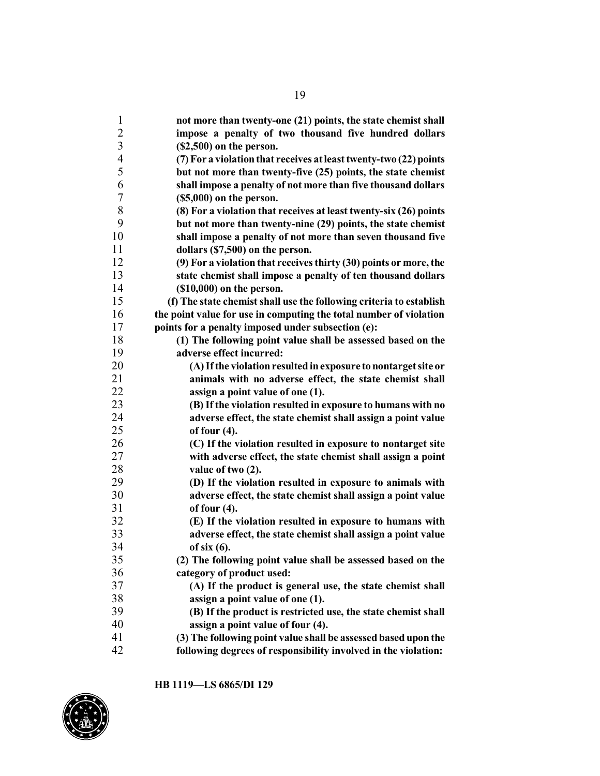| $\mathbf{1}$                     | not more than twenty-one (21) points, the state chemist shall       |
|----------------------------------|---------------------------------------------------------------------|
| $\overline{2}$                   | impose a penalty of two thousand five hundred dollars               |
| $\mathfrak{Z}$<br>$\overline{4}$ | $($2,500)$ on the person.                                           |
|                                  | (7) For a violation that receives at least twenty-two (22) points   |
| 5                                | but not more than twenty-five (25) points, the state chemist        |
| 6                                | shall impose a penalty of not more than five thousand dollars       |
| 7                                | $($5,000)$ on the person.                                           |
| 8                                | (8) For a violation that receives at least twenty-six (26) points   |
| 9                                | but not more than twenty-nine (29) points, the state chemist        |
| 10                               | shall impose a penalty of not more than seven thousand five         |
| 11                               | dollars (\$7,500) on the person.                                    |
| 12                               | (9) For a violation that receives thirty (30) points or more, the   |
| 13                               | state chemist shall impose a penalty of ten thousand dollars        |
| 14                               | $($10,000)$ on the person.                                          |
| 15                               | (f) The state chemist shall use the following criteria to establish |
| 16                               | the point value for use in computing the total number of violation  |
| 17                               | points for a penalty imposed under subsection (e):                  |
| 18                               | (1) The following point value shall be assessed based on the        |
| 19                               | adverse effect incurred:                                            |
| 20                               | (A) If the violation resulted in exposure to nontarget site or      |
| 21                               | animals with no adverse effect, the state chemist shall             |
| 22                               | assign a point value of one (1).                                    |
| 23                               | (B) If the violation resulted in exposure to humans with no         |
| 24                               | adverse effect, the state chemist shall assign a point value        |
| 25                               | of four $(4)$ .                                                     |
| 26                               | (C) If the violation resulted in exposure to nontarget site         |
| 27                               | with adverse effect, the state chemist shall assign a point         |
| 28                               | value of two (2).                                                   |
| 29                               | (D) If the violation resulted in exposure to animals with           |
| 30                               | adverse effect, the state chemist shall assign a point value        |
| 31                               | of four $(4)$ .                                                     |
| 32                               | (E) If the violation resulted in exposure to humans with            |
| 33                               | adverse effect, the state chemist shall assign a point value        |
| 34                               | of six (6).                                                         |
| 35                               | (2) The following point value shall be assessed based on the        |
| 36                               | category of product used:                                           |
| 37                               | (A) If the product is general use, the state chemist shall          |
| 38                               | assign a point value of one (1).                                    |
| 39                               | (B) If the product is restricted use, the state chemist shall       |
| 40                               | assign a point value of four (4).                                   |
| 41                               | (3) The following point value shall be assessed based upon the      |
| 42                               | following degrees of responsibility involved in the violation:      |
|                                  |                                                                     |

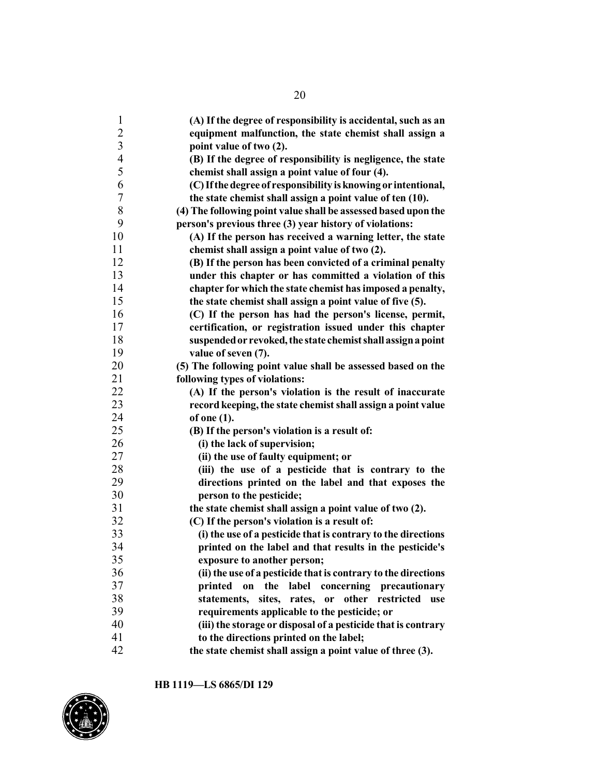| $\mathbf{1}$     | (A) If the degree of responsibility is accidental, such as an  |
|------------------|----------------------------------------------------------------|
|                  | equipment malfunction, the state chemist shall assign a        |
| $\frac{2}{3}$    | point value of two (2).                                        |
| $\overline{4}$   | (B) If the degree of responsibility is negligence, the state   |
| 5                | chemist shall assign a point value of four (4).                |
| 6                | (C) If the degree of responsibility is knowing or intentional, |
| $\boldsymbol{7}$ | the state chemist shall assign a point value of ten (10).      |
| 8                | (4) The following point value shall be assessed based upon the |
| 9                | person's previous three (3) year history of violations:        |
| 10               | (A) If the person has received a warning letter, the state     |
| 11               | chemist shall assign a point value of two (2).                 |
| 12               | (B) If the person has been convicted of a criminal penalty     |
| 13               | under this chapter or has committed a violation of this        |
| 14               | chapter for which the state chemist has imposed a penalty,     |
| 15               | the state chemist shall assign a point value of five (5).      |
| 16               | (C) If the person has had the person's license, permit,        |
| 17               | certification, or registration issued under this chapter       |
| 18               | suspended or revoked, the state chemist shall assign a point   |
| 19               | value of seven (7).                                            |
| 20               | (5) The following point value shall be assessed based on the   |
| 21               | following types of violations:                                 |
| 22               | (A) If the person's violation is the result of inaccurate      |
| 23               | record keeping, the state chemist shall assign a point value   |
| 24               | of one $(1)$ .                                                 |
| 25               | (B) If the person's violation is a result of:                  |
| 26               | (i) the lack of supervision;                                   |
| 27               | (ii) the use of faulty equipment; or                           |
| 28               | (iii) the use of a pesticide that is contrary to the           |
| 29               | directions printed on the label and that exposes the           |
| 30               | person to the pesticide;                                       |
| 31               | the state chemist shall assign a point value of two (2).       |
| 32               | (C) If the person's violation is a result of:                  |
| 33               | (i) the use of a pesticide that is contrary to the directions  |
| 34               | printed on the label and that results in the pesticide's       |
| 35               | exposure to another person;                                    |
| 36               | (ii) the use of a pesticide that is contrary to the directions |
| 37               | printed on the label concerning precautionary                  |
| 38               | statements,<br>sites, rates, or other restricted<br>use        |
| 39               | requirements applicable to the pesticide; or                   |
| 40               | (iii) the storage or disposal of a pesticide that is contrary  |
| 41               | to the directions printed on the label;                        |
| 42               | the state chemist shall assign a point value of three (3).     |

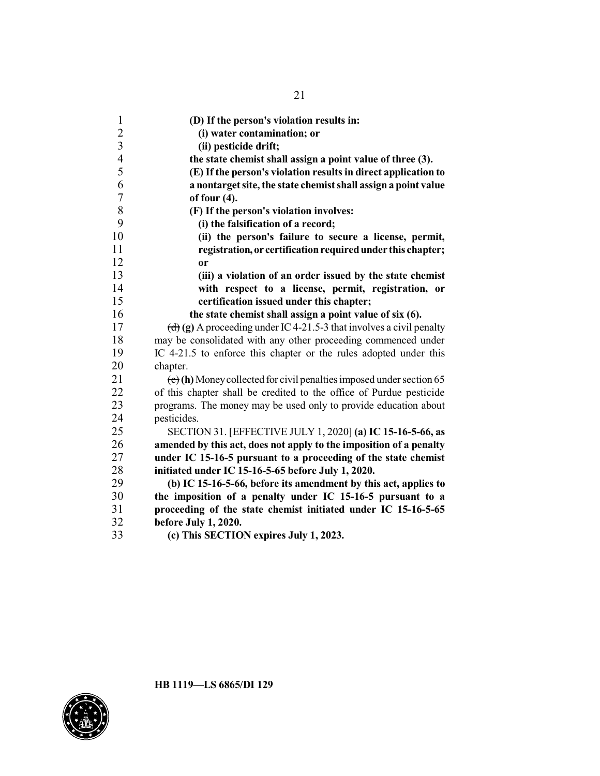| $\mathbf{1}$     | (D) If the person's violation results in:                              |
|------------------|------------------------------------------------------------------------|
| $\overline{c}$   | (i) water contamination; or                                            |
| $\overline{3}$   | (ii) pesticide drift;                                                  |
| $\overline{4}$   | the state chemist shall assign a point value of three (3).             |
| 5                | (E) If the person's violation results in direct application to         |
| 6                | a nontarget site, the state chemist shall assign a point value         |
| $\boldsymbol{7}$ | of four $(4)$ .                                                        |
| $8\,$            | (F) If the person's violation involves:                                |
| 9                | (i) the falsification of a record;                                     |
| 10               | (ii) the person's failure to secure a license, permit,                 |
| 11               | registration, or certification required under this chapter;            |
| 12               | <b>or</b>                                                              |
| 13               | (iii) a violation of an order issued by the state chemist              |
| 14               | with respect to a license, permit, registration, or                    |
| 15               | certification issued under this chapter;                               |
| 16               | the state chemist shall assign a point value of six (6).               |
| 17               | (d) (g) A proceeding under IC 4-21.5-3 that involves a civil penalty   |
| 18               | may be consolidated with any other proceeding commenced under          |
| 19               | IC 4-21.5 to enforce this chapter or the rules adopted under this      |
| 20               | chapter.                                                               |
| 21               | $(e)$ (h) Money collected for civil penalties imposed under section 65 |
| 22               | of this chapter shall be credited to the office of Purdue pesticide    |
| 23               | programs. The money may be used only to provide education about        |
| 24               | pesticides.                                                            |
| 25               | SECTION 31. [EFFECTIVE JULY 1, 2020] (a) IC 15-16-5-66, as             |
| 26               | amended by this act, does not apply to the imposition of a penalty     |
| 27               | under IC 15-16-5 pursuant to a proceeding of the state chemist         |
| 28               | initiated under IC 15-16-5-65 before July 1, 2020.                     |
| 29               | (b) IC 15-16-5-66, before its amendment by this act, applies to        |
| 30               | the imposition of a penalty under IC 15-16-5 pursuant to a             |
| 31               | proceeding of the state chemist initiated under IC 15-16-5-65          |
| 32               | before July 1, 2020.                                                   |
| 33               | (c) This SECTION expires July 1, 2023.                                 |

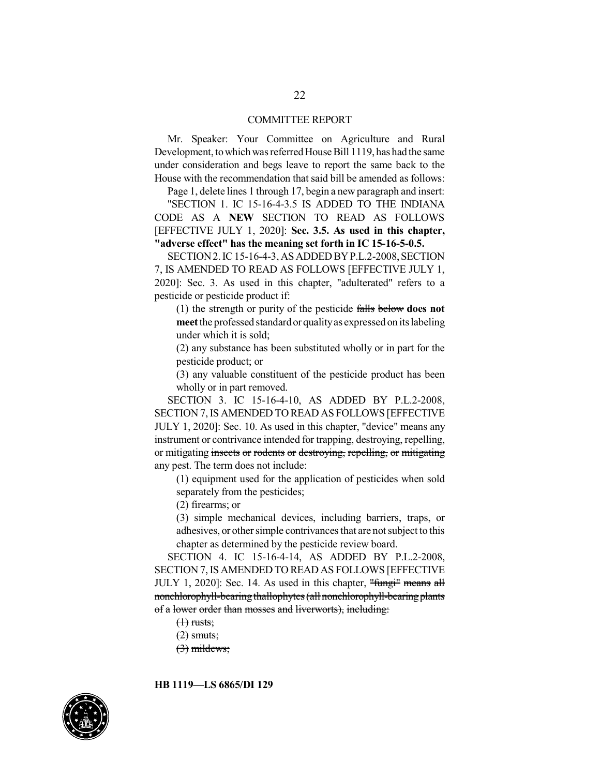#### COMMITTEE REPORT

Mr. Speaker: Your Committee on Agriculture and Rural Development, to which was referred House Bill 1119, has had the same under consideration and begs leave to report the same back to the House with the recommendation that said bill be amended as follows:

Page 1, delete lines 1 through 17, begin a new paragraph and insert:

"SECTION 1. IC 15-16-4-3.5 IS ADDED TO THE INDIANA CODE AS A **NEW** SECTION TO READ AS FOLLOWS [EFFECTIVE JULY 1, 2020]: **Sec. 3.5. As used in this chapter, "adverse effect" has the meaning set forth in IC 15-16-5-0.5.**

SECTION 2. IC 15-16-4-3, AS ADDED BY P.L.2-2008, SECTION 7, IS AMENDED TO READ AS FOLLOWS [EFFECTIVE JULY 1, 2020]: Sec. 3. As used in this chapter, "adulterated" refers to a pesticide or pesticide product if:

(1) the strength or purity of the pesticide falls below **does not meet** the professed standardor qualityas expressed on its labeling under which it is sold;

(2) any substance has been substituted wholly or in part for the pesticide product; or

(3) any valuable constituent of the pesticide product has been wholly or in part removed.

SECTION 3. IC 15-16-4-10, AS ADDED BY P.L.2-2008, SECTION 7,IS AMENDED TO READ AS FOLLOWS [EFFECTIVE JULY 1, 2020]: Sec. 10. As used in this chapter, "device" means any instrument or contrivance intended for trapping, destroying, repelling, or mitigating insects or rodents or destroying, repelling, or mitigating any pest. The term does not include:

(1) equipment used for the application of pesticides when sold separately from the pesticides;

(2) firearms; or

(3) simple mechanical devices, including barriers, traps, or adhesives, or other simple contrivances that are not subject to this chapter as determined by the pesticide review board.

SECTION 4. IC 15-16-4-14, AS ADDED BY P.L.2-2008, SECTION 7,IS AMENDED TO READ AS FOLLOWS [EFFECTIVE JULY 1, 2020]: Sec. 14. As used in this chapter, "fungi" means all nonchlorophyll-bearing thallophytes (all nonchlorophyll-bearing plants of a lower order than mosses and liverworts), including:

 $(1)$  rusts;

 $(2)$  smuts;

 $(3)$  mildews;

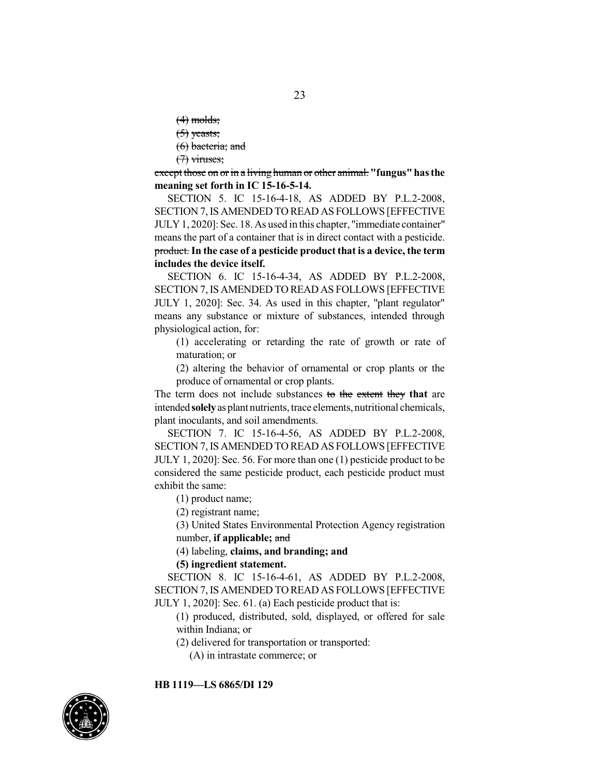$(4)$  molds;  $(5)$  yeasts; (6) bacteria; and  $(7)$  viruses;

except those on or in a living human or other animal. "fungus" has the **meaning set forth in IC 15-16-5-14.**

SECTION 5. IC 15-16-4-18, AS ADDED BY P.L.2-2008, SECTION 7,IS AMENDED TO READ AS FOLLOWS [EFFECTIVE JULY1, 2020]: Sec. 18. As used in this chapter, "immediate container" means the part of a container that is in direct contact with a pesticide. product.**In the case of a pesticide product that is a device, the term includes the device itself.**

SECTION 6. IC 15-16-4-34, AS ADDED BY P.L.2-2008, SECTION 7,IS AMENDED TO READ AS FOLLOWS [EFFECTIVE JULY 1, 2020]: Sec. 34. As used in this chapter, "plant regulator" means any substance or mixture of substances, intended through physiological action, for:

(1) accelerating or retarding the rate of growth or rate of maturation; or

(2) altering the behavior of ornamental or crop plants or the produce of ornamental or crop plants.

The term does not include substances to the extent they **that** are intended **solely** as plant nutrients, trace elements, nutritional chemicals, plant inoculants, and soil amendments.

SECTION 7. IC 15-16-4-56, AS ADDED BY P.L.2-2008, SECTION 7,IS AMENDED TO READ AS FOLLOWS [EFFECTIVE JULY 1, 2020]: Sec. 56. For more than one (1) pesticide product to be considered the same pesticide product, each pesticide product must exhibit the same:

(1) product name;

(2) registrant name;

(3) United States Environmental Protection Agency registration number, **if applicable;** and

(4) labeling, **claims, and branding; and**

#### **(5) ingredient statement.**

SECTION 8. IC 15-16-4-61, AS ADDED BY P.L.2-2008, SECTION 7,IS AMENDED TO READ AS FOLLOWS [EFFECTIVE JULY 1, 2020]: Sec. 61. (a) Each pesticide product that is:

(1) produced, distributed, sold, displayed, or offered for sale within Indiana; or

(2) delivered for transportation or transported:

(A) in intrastate commerce; or

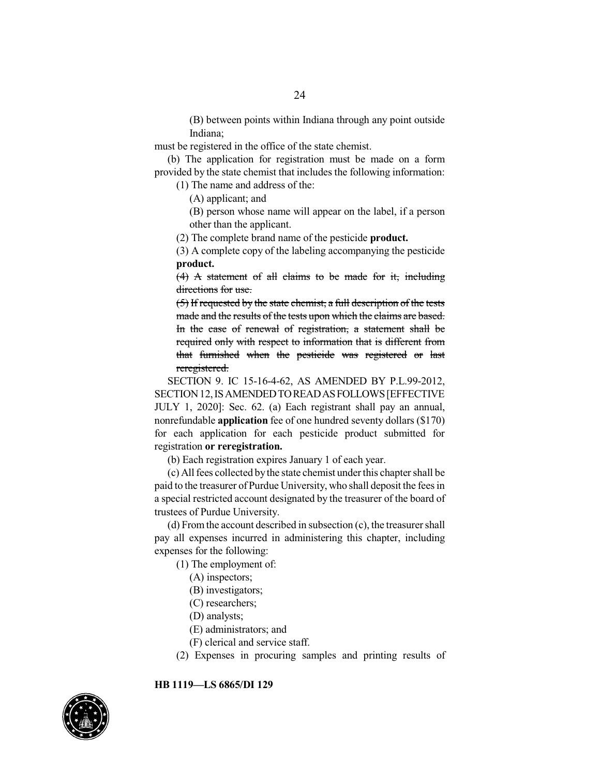(B) between points within Indiana through any point outside Indiana;

must be registered in the office of the state chemist.

(b) The application for registration must be made on a form provided by the state chemist that includes the following information:

(1) The name and address of the:

(A) applicant; and

(B) person whose name will appear on the label, if a person other than the applicant.

(2) The complete brand name of the pesticide **product.**

(3) A complete copy of the labeling accompanying the pesticide **product.**

(4) A statement of all claims to be made for it, including directions for use.

(5) If requested by the state chemist, a full description of the tests made and the results of the tests upon which the claims are based. In the case of renewal of registration, a statement shall be required only with respect to information that is different from that furnished when the pesticide was registered or last reregistered.

SECTION 9. IC 15-16-4-62, AS AMENDED BY P.L.99-2012, SECTION 12, IS AMENDED TO READ AS FOLLOWS [EFFECTIVE JULY 1, 2020]: Sec. 62. (a) Each registrant shall pay an annual, nonrefundable **application** fee of one hundred seventy dollars (\$170) for each application for each pesticide product submitted for registration **or reregistration.**

(b) Each registration expires January 1 of each year.

(c) Allfees collected bythe state chemist under this chapter shall be paid to the treasurer of Purdue University, who shall deposit the fees in a special restricted account designated by the treasurer of the board of trustees of Purdue University.

(d) Fromthe account described in subsection (c), the treasurer shall pay all expenses incurred in administering this chapter, including expenses for the following:

(1) The employment of:

- (A) inspectors;
- (B) investigators;
- (C) researchers;
- (D) analysts;
- (E) administrators; and
- (F) clerical and service staff.
- (2) Expenses in procuring samples and printing results of

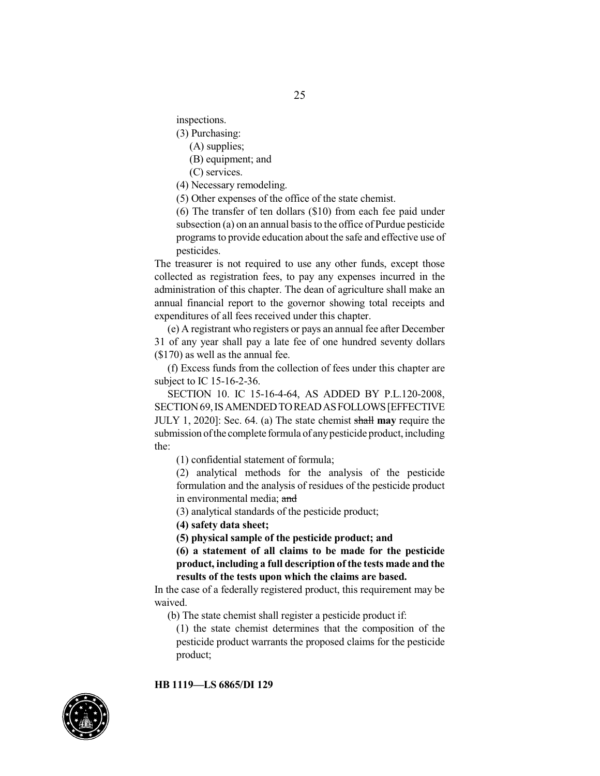inspections.

(3) Purchasing:

(A) supplies;

(B) equipment; and

(C) services.

(4) Necessary remodeling.

(5) Other expenses of the office of the state chemist.

(6) The transfer of ten dollars (\$10) from each fee paid under subsection (a) on an annual basis to the office of Purdue pesticide programs to provide education about the safe and effective use of pesticides.

The treasurer is not required to use any other funds, except those collected as registration fees, to pay any expenses incurred in the administration of this chapter. The dean of agriculture shall make an annual financial report to the governor showing total receipts and expenditures of all fees received under this chapter.

(e) A registrant who registers or pays an annual fee after December 31 of any year shall pay a late fee of one hundred seventy dollars (\$170) as well as the annual fee.

(f) Excess funds from the collection of fees under this chapter are subject to IC 15-16-2-36.

SECTION 10. IC 15-16-4-64, AS ADDED BY P.L.120-2008, SECTION69,ISAMENDEDTOREADASFOLLOWS[EFFECTIVE JULY 1, 2020]: Sec. 64. (a) The state chemist shall **may** require the submission of the complete formula of any pesticide product, including the:

(1) confidential statement of formula;

(2) analytical methods for the analysis of the pesticide formulation and the analysis of residues of the pesticide product in environmental media; and

(3) analytical standards of the pesticide product;

**(4) safety data sheet;**

**(5) physical sample of the pesticide product; and**

**(6) a statement of all claims to be made for the pesticide product, including a full description of the tests made and the results of the tests upon which the claims are based.**

In the case of a federally registered product, this requirement may be waived.

(b) The state chemist shall register a pesticide product if:

(1) the state chemist determines that the composition of the pesticide product warrants the proposed claims for the pesticide product;

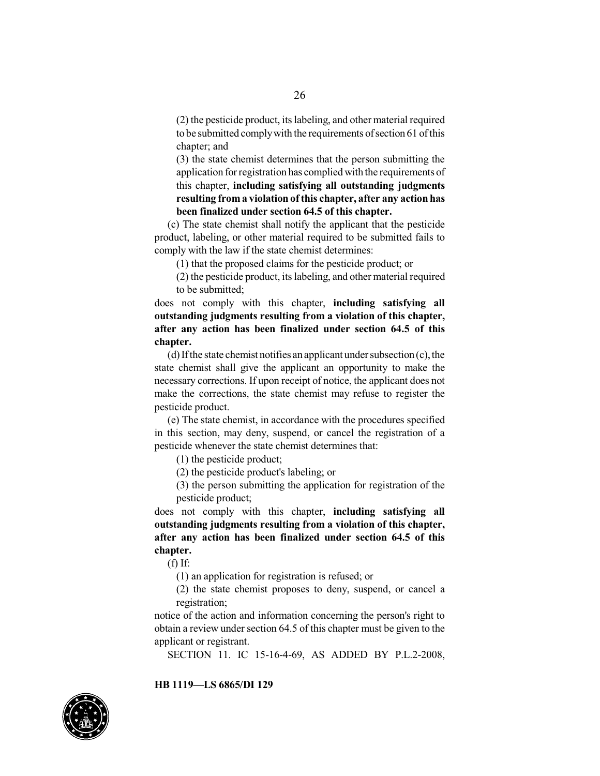(2) the pesticide product, its labeling, and other material required to be submitted comply with the requirements of section 61 of this chapter; and

(3) the state chemist determines that the person submitting the application for registration has complied with the requirements of this chapter, **including satisfying all outstanding judgments resulting from a violation ofthis chapter, after any action has been finalized under section 64.5 of this chapter.**

(c) The state chemist shall notify the applicant that the pesticide product, labeling, or other material required to be submitted fails to comply with the law if the state chemist determines:

(1) that the proposed claims for the pesticide product; or

(2) the pesticide product, its labeling, and other material required to be submitted;

does not comply with this chapter, **including satisfying all outstanding judgments resulting from a violation of this chapter, after any action has been finalized under section 64.5 of this chapter.**

(d) If the state chemist notifies an applicant under subsection  $(c)$ , the state chemist shall give the applicant an opportunity to make the necessary corrections. If upon receipt of notice, the applicant does not make the corrections, the state chemist may refuse to register the pesticide product.

(e) The state chemist, in accordance with the procedures specified in this section, may deny, suspend, or cancel the registration of a pesticide whenever the state chemist determines that:

(1) the pesticide product;

(2) the pesticide product's labeling; or

(3) the person submitting the application for registration of the pesticide product;

does not comply with this chapter, **including satisfying all outstanding judgments resulting from a violation of this chapter, after any action has been finalized under section 64.5 of this chapter.**

 $(f)$  If:

(1) an application for registration is refused; or

(2) the state chemist proposes to deny, suspend, or cancel a registration;

notice of the action and information concerning the person's right to obtain a review under section 64.5 of this chapter must be given to the applicant or registrant.

SECTION 11. IC 15-16-4-69, AS ADDED BY P.L.2-2008,

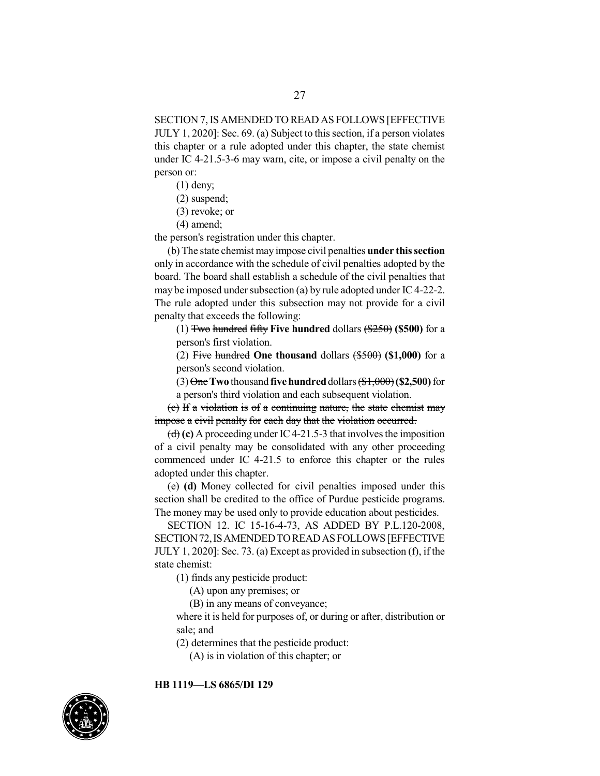SECTION 7,IS AMENDED TO READ AS FOLLOWS [EFFECTIVE JULY 1, 2020]: Sec. 69. (a) Subject to this section, if a person violates this chapter or a rule adopted under this chapter, the state chemist under IC 4-21.5-3-6 may warn, cite, or impose a civil penalty on the person or:

(1) deny;

(2) suspend;

(3) revoke; or

(4) amend;

the person's registration under this chapter.

(b) The state chemist may impose civil penalties **under thissection** only in accordance with the schedule of civil penalties adopted by the board. The board shall establish a schedule of the civil penalties that may be imposed under subsection (a) by rule adopted under IC4-22-2. The rule adopted under this subsection may not provide for a civil penalty that exceeds the following:

(1) Two hundred fifty **Five hundred** dollars (\$250) **(\$500)** for a person's first violation.

(2) Five hundred **One thousand** dollars (\$500) **(\$1,000)** for a person's second violation.

(3) One**Two** thousand **fivehundred**dollars (\$1,000)**(\$2,500)**for a person's third violation and each subsequent violation.

(c) If a violation is of a continuing nature, the state chemist may impose a civil penalty for each day that the violation occurred.

 $\left(\frac{d}{d}\right)$  (c) A proceeding under IC4-21.5-3 that involves the imposition of a civil penalty may be consolidated with any other proceeding commenced under IC 4-21.5 to enforce this chapter or the rules adopted under this chapter.

(e) **(d)** Money collected for civil penalties imposed under this section shall be credited to the office of Purdue pesticide programs. The money may be used only to provide education about pesticides.

SECTION 12. IC 15-16-4-73, AS ADDED BY P.L.120-2008, SECTION 72, IS AMENDED TO READ AS FOLLOWS [EFFECTIVE JULY 1, 2020]: Sec. 73. (a) Except as provided in subsection (f), if the state chemist:

(1) finds any pesticide product:

(A) upon any premises; or

(B) in any means of conveyance;

where it is held for purposes of, or during or after, distribution or sale; and

(2) determines that the pesticide product:

(A) is in violation of this chapter; or



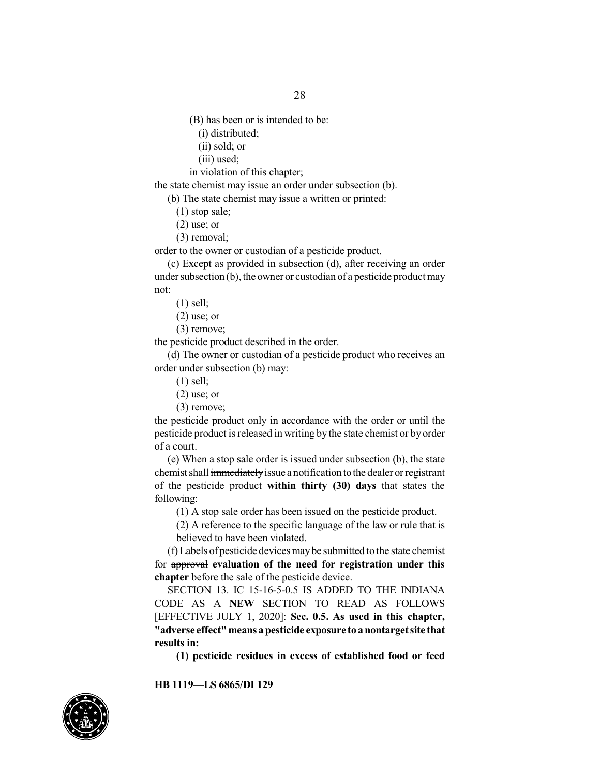28

(B) has been or is intended to be:

- (i) distributed;
- (ii) sold; or
- (iii) used;
- in violation of this chapter;

the state chemist may issue an order under subsection (b).

(b) The state chemist may issue a written or printed:

(1) stop sale;

(2) use; or

(3) removal;

order to the owner or custodian of a pesticide product.

(c) Except as provided in subsection (d), after receiving an order under subsection  $(b)$ , the owner or custodian of a pesticide product may not:

(1) sell;

- $(2)$  use; or
- (3) remove;

the pesticide product described in the order.

(d) The owner or custodian of a pesticide product who receives an order under subsection (b) may:

(1) sell;

 $(2)$  use; or

(3) remove;

the pesticide product only in accordance with the order or until the pesticide product is released in writing by the state chemist or by order of a court.

(e) When a stop sale order is issued under subsection (b), the state chemist shall immediately issue a notification to the dealer or registrant of the pesticide product **within thirty (30) days** that states the following:

(1) A stop sale order has been issued on the pesticide product.

(2) A reference to the specific language of the law or rule that is believed to have been violated.

(f) Labels of pesticide devicesmaybe submitted to the state chemist for approval **evaluation of the need for registration under this chapter** before the sale of the pesticide device.

SECTION 13. IC 15-16-5-0.5 IS ADDED TO THE INDIANA CODE AS A **NEW** SECTION TO READ AS FOLLOWS [EFFECTIVE JULY 1, 2020]: **Sec. 0.5. As used in this chapter, "adverse effect"means a pesticide exposure to a nontargetsite that results in:**

**(1) pesticide residues in excess of established food or feed**

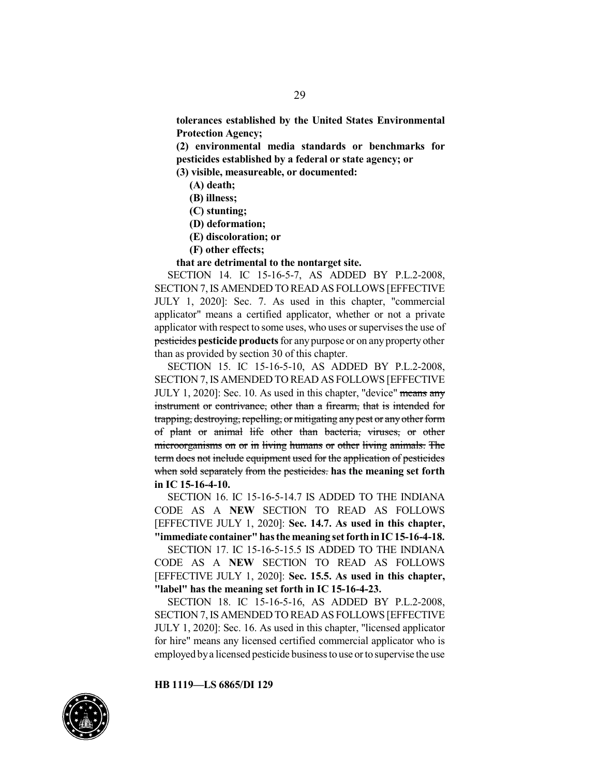**tolerances established by the United States Environmental Protection Agency;**

**(2) environmental media standards or benchmarks for pesticides established by a federal or state agency; or**

**(3) visible, measureable, or documented:**

- **(A) death;**
- **(B) illness;**
- **(C) stunting;**
- **(D) deformation;**
- **(E) discoloration; or**
- **(F) other effects;**

**that are detrimental to the nontarget site.**

SECTION 14. IC 15-16-5-7, AS ADDED BY P.L.2-2008, SECTION 7,IS AMENDED TO READ AS FOLLOWS [EFFECTIVE JULY 1, 2020]: Sec. 7. As used in this chapter, "commercial applicator" means a certified applicator, whether or not a private applicator with respect to some uses, who uses or supervises the use of **pesticides pesticide products** for any purpose or on any property other than as provided by section 30 of this chapter.

SECTION 15. IC 15-16-5-10, AS ADDED BY P.L.2-2008, SECTION 7,IS AMENDED TO READ AS FOLLOWS [EFFECTIVE JULY 1, 2020]: Sec. 10. As used in this chapter, "device" means any instrument or contrivance, other than a firearm, that is intended for trapping, destroying, repelling, or mitigating any pest or any other form of plant or animal life other than bacteria, viruses, or other microorganisms on or in living humans or other living animals. The term does not include equipment used for the application of pesticides when sold separately from the pesticides. **has the meaning set forth in IC 15-16-4-10.**

SECTION 16. IC 15-16-5-14.7 IS ADDED TO THE INDIANA CODE AS A **NEW** SECTION TO READ AS FOLLOWS [EFFECTIVE JULY 1, 2020]: **Sec. 14.7. As used in this chapter, "immediate container"hasthe meaning set forth inIC15-16-4-18.**

SECTION 17. IC 15-16-5-15.5 IS ADDED TO THE INDIANA CODE AS A **NEW** SECTION TO READ AS FOLLOWS [EFFECTIVE JULY 1, 2020]: **Sec. 15.5. As used in this chapter, "label" has the meaning set forth in IC 15-16-4-23.**

SECTION 18. IC 15-16-5-16, AS ADDED BY P.L.2-2008, SECTION 7,IS AMENDED TO READ AS FOLLOWS [EFFECTIVE JULY 1, 2020]: Sec. 16. As used in this chapter, "licensed applicator for hire" means any licensed certified commercial applicator who is employed bya licensed pesticide businessto use or to supervise the use

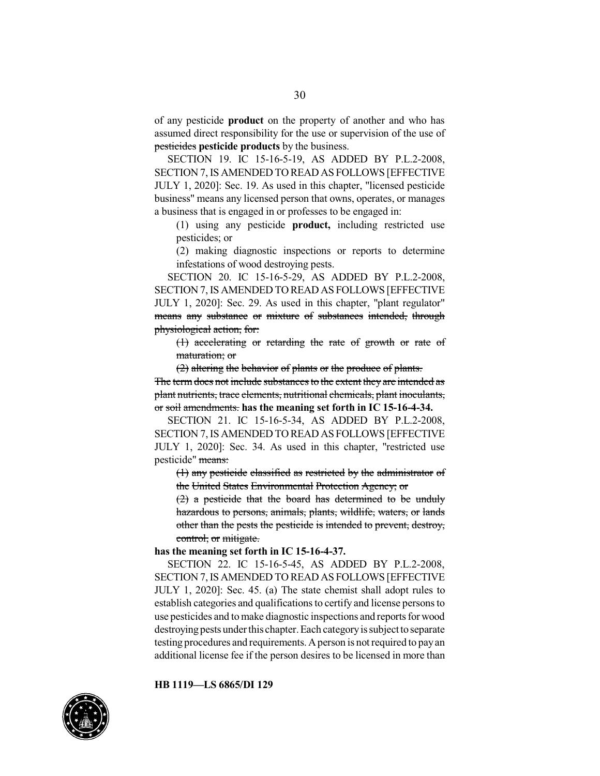of any pesticide **product** on the property of another and who has assumed direct responsibility for the use or supervision of the use of pesticides **pesticide products** by the business.

SECTION 19. IC 15-16-5-19, AS ADDED BY P.L.2-2008, SECTION 7,IS AMENDED TO READ AS FOLLOWS [EFFECTIVE JULY 1, 2020]: Sec. 19. As used in this chapter, "licensed pesticide business" means any licensed person that owns, operates, or manages a business that is engaged in or professes to be engaged in:

(1) using any pesticide **product,** including restricted use pesticides; or

(2) making diagnostic inspections or reports to determine infestations of wood destroying pests.

SECTION 20. IC 15-16-5-29, AS ADDED BY P.L.2-2008, SECTION 7,IS AMENDED TO READ AS FOLLOWS [EFFECTIVE JULY 1, 2020]: Sec. 29. As used in this chapter, "plant regulator" means any substance or mixture of substances intended, through physiological action, for:

(1) accelerating or retarding the rate of growth or rate of maturation; or

(2) altering the behavior of plants or the produce of plants.

The term does not include substances to the extent they are intended as plant nutrients, trace elements, nutritional chemicals, plant inoculants, or soil amendments. **has the meaning set forth in IC 15-16-4-34.**

SECTION 21. IC 15-16-5-34, AS ADDED BY P.L.2-2008, SECTION 7,IS AMENDED TO READ AS FOLLOWS [EFFECTIVE JULY 1, 2020]: Sec. 34. As used in this chapter, "restricted use pesticide" means:

(1) any pesticide classified as restricted by the administrator of the United States Environmental Protection Agency; or

(2) a pesticide that the board has determined to be unduly hazardous to persons, animals, plants, wildlife, waters, or lands other than the pests the pesticide is intended to prevent, destroy, control, or mitigate.

#### **has the meaning set forth in IC 15-16-4-37.**

SECTION 22. IC 15-16-5-45, AS ADDED BY P.L.2-2008, SECTION 7,IS AMENDED TO READ AS FOLLOWS [EFFECTIVE JULY 1, 2020]: Sec. 45. (a) The state chemist shall adopt rules to establish categories and qualifications to certify and license persons to use pesticides and tomake diagnostic inspections and reports for wood destroying pests under this chapter. Each category is subject to separate testing procedures and requirements.Aperson is not required to payan additional license fee if the person desires to be licensed in more than

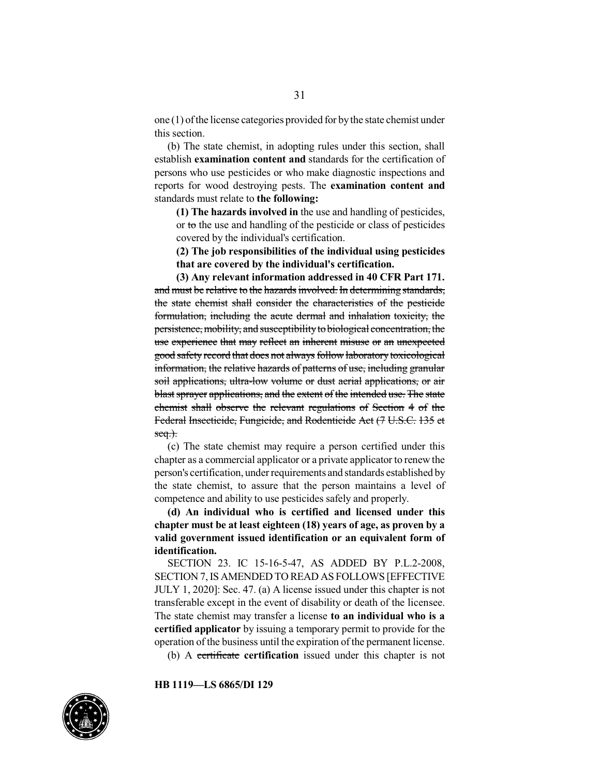one (1) ofthe license categories provided for bythe state chemist under this section.

(b) The state chemist, in adopting rules under this section, shall establish **examination content and** standards for the certification of persons who use pesticides or who make diagnostic inspections and reports for wood destroying pests. The **examination content and** standards must relate to **the following:**

**(1) The hazards involved in** the use and handling of pesticides, or to the use and handling of the pesticide or class of pesticides covered by the individual's certification.

**(2) The job responsibilities of the individual using pesticides that are covered by the individual's certification.**

**(3) Any relevant information addressed in 40 CFR Part 171.** and must be relative to the hazards involved. In determining standards, the state chemist shall consider the characteristics of the pesticide formulation, including the acute dermal and inhalation toxicity, the persistence, mobility, and susceptibility to biological concentration, the use experience that may reflect an inherent misuse or an unexpected good safety record that does not always follow laboratory toxicological information, the relative hazards of patterns of use, including granular soil applications, ultra-low volume or dust aerial applications, or air blast sprayer applications, and the extent of the intended use. The state chemist shall observe the relevant regulations of Section 4 of the Federal Insecticide, Fungicide, and Rodenticide Act (7 U.S.C. 135 et  $seq.$ ).

(c) The state chemist may require a person certified under this chapter as a commercial applicator or a private applicator to renew the person's certification, under requirements and standards established by the state chemist, to assure that the person maintains a level of competence and ability to use pesticides safely and properly.

**(d) An individual who is certified and licensed under this chapter must be at least eighteen (18) years of age, as proven by a valid government issued identification or an equivalent form of identification.**

SECTION 23. IC 15-16-5-47, AS ADDED BY P.L.2-2008, SECTION 7,IS AMENDED TO READ AS FOLLOWS [EFFECTIVE JULY 1, 2020]: Sec. 47. (a) A license issued under this chapter is not transferable except in the event of disability or death of the licensee. The state chemist may transfer a license **to an individual who is a certified applicator** by issuing a temporary permit to provide for the operation of the business until the expiration of the permanent license.

(b) A certificate **certification** issued under this chapter is not

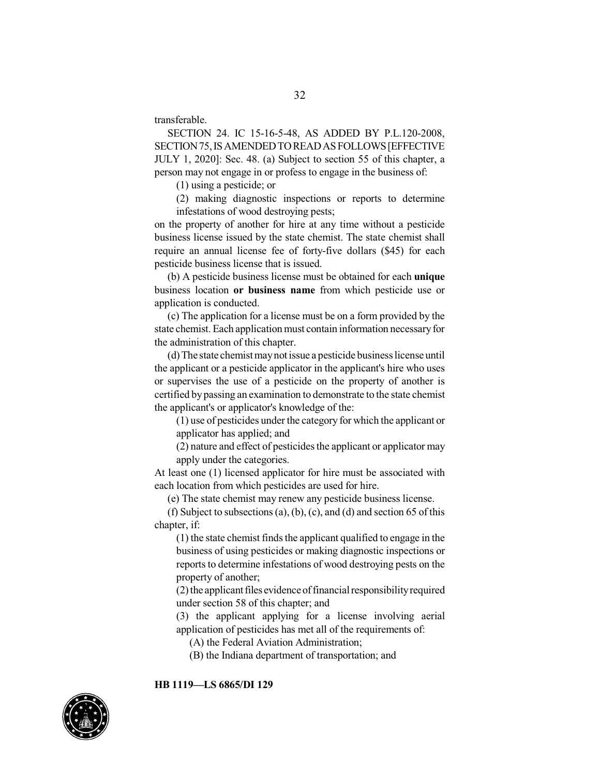transferable.

SECTION 24. IC 15-16-5-48, AS ADDED BY P.L.120-2008, SECTION75,ISAMENDEDTOREADASFOLLOWS[EFFECTIVE JULY 1, 2020]: Sec. 48. (a) Subject to section 55 of this chapter, a person may not engage in or profess to engage in the business of:

(1) using a pesticide; or

(2) making diagnostic inspections or reports to determine infestations of wood destroying pests;

on the property of another for hire at any time without a pesticide business license issued by the state chemist. The state chemist shall require an annual license fee of forty-five dollars (\$45) for each pesticide business license that is issued.

(b) A pesticide business license must be obtained for each **unique** business location **or business name** from which pesticide use or application is conducted.

(c) The application for a license must be on a form provided by the state chemist.Each application must contain information necessaryfor the administration of this chapter.

(d) The state chemist maynot issue a pesticide businesslicense until the applicant or a pesticide applicator in the applicant's hire who uses or supervises the use of a pesticide on the property of another is certified by passing an examination to demonstrate to the state chemist the applicant's or applicator's knowledge of the:

(1) use of pesticides under the category for which the applicant or applicator has applied; and

 $(2)$  nature and effect of pesticides the applicant or applicator may apply under the categories.

At least one (1) licensed applicator for hire must be associated with each location from which pesticides are used for hire.

(e) The state chemist may renew any pesticide business license.

(f) Subject to subsections (a), (b), (c), and (d) and section 65 of this chapter, if:

 $(1)$  the state chemist finds the applicant qualified to engage in the business of using pesticides or making diagnostic inspections or reports to determine infestations of wood destroying pests on the property of another;

 $(2)$  the applicant files evidence of financial responsibility required under section 58 of this chapter; and

(3) the applicant applying for a license involving aerial application of pesticides has met all of the requirements of:

(A) the Federal Aviation Administration;

(B) the Indiana department of transportation; and

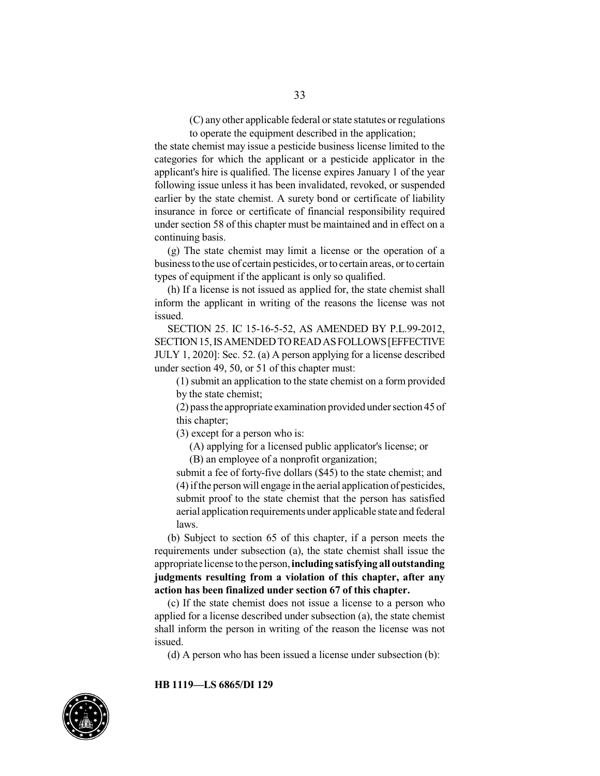(C) any other applicable federal or state statutes or regulations to operate the equipment described in the application;

the state chemist may issue a pesticide business license limited to the categories for which the applicant or a pesticide applicator in the applicant's hire is qualified. The license expires January 1 of the year following issue unless it has been invalidated, revoked, or suspended earlier by the state chemist. A surety bond or certificate of liability insurance in force or certificate of financial responsibility required under section 58 of this chapter must be maintained and in effect on a continuing basis.

(g) The state chemist may limit a license or the operation of a business to the use of certain pesticides, or to certain areas, or to certain types of equipment if the applicant is only so qualified.

(h) If a license is not issued as applied for, the state chemist shall inform the applicant in writing of the reasons the license was not issued.

SECTION 25. IC 15-16-5-52, AS AMENDED BY P.L.99-2012, SECTION 15, IS AMENDED TO READ AS FOLLOWS [EFFECTIVE JULY 1, 2020]: Sec. 52. (a) A person applying for a license described under section 49, 50, or 51 of this chapter must:

(1) submit an application to the state chemist on a form provided by the state chemist;

(2) passthe appropriate examination provided under section 45 of this chapter;

(3) except for a person who is:

(A) applying for a licensed public applicator's license; or

(B) an employee of a nonprofit organization;

submit a fee of forty-five dollars (\$45) to the state chemist; and (4) ifthe person will engage in the aerial application of pesticides, submit proof to the state chemist that the person has satisfied aerial application requirements under applicable state and federal laws.

(b) Subject to section 65 of this chapter, if a person meets the requirements under subsection (a), the state chemist shall issue the appropriate license to the person,**including satisfying all outstanding judgments resulting from a violation of this chapter, after any action has been finalized under section 67 of this chapter.**

(c) If the state chemist does not issue a license to a person who applied for a license described under subsection (a), the state chemist shall inform the person in writing of the reason the license was not issued.

(d) A person who has been issued a license under subsection (b):

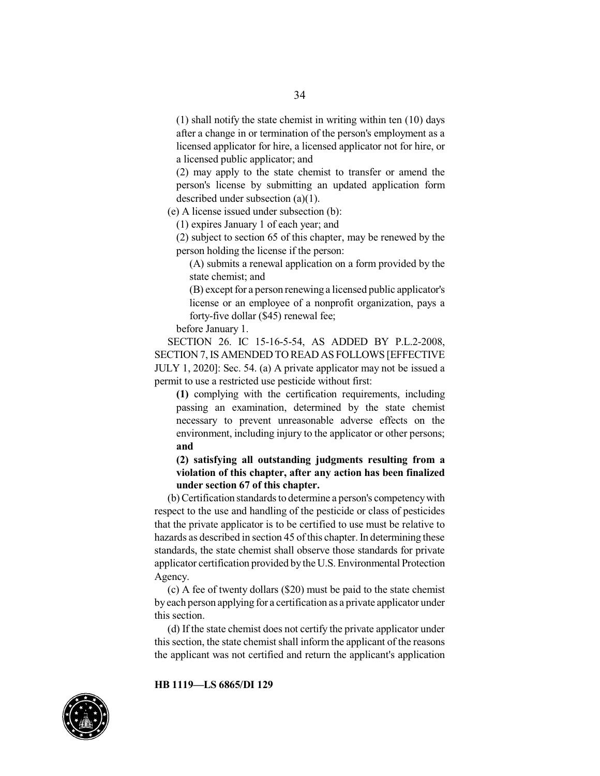(1) shall notify the state chemist in writing within ten (10) days after a change in or termination of the person's employment as a licensed applicator for hire, a licensed applicator not for hire, or a licensed public applicator; and

(2) may apply to the state chemist to transfer or amend the person's license by submitting an updated application form described under subsection (a)(1).

(e) A license issued under subsection (b):

(1) expires January 1 of each year; and

(2) subject to section 65 of this chapter, may be renewed by the person holding the license if the person:

(A) submits a renewal application on a form provided by the state chemist; and

(B) except for a person renewing a licensed public applicator's license or an employee of a nonprofit organization, pays a forty-five dollar (\$45) renewal fee;

before January 1.

SECTION 26. IC 15-16-5-54, AS ADDED BY P.L.2-2008, SECTION 7, IS AMENDED TO READ AS FOLLOWS [EFFECTIVE JULY 1, 2020]: Sec. 54. (a) A private applicator may not be issued a permit to use a restricted use pesticide without first:

**(1)** complying with the certification requirements, including passing an examination, determined by the state chemist necessary to prevent unreasonable adverse effects on the environment, including injury to the applicator or other persons; **and**

**(2) satisfying all outstanding judgments resulting from a violation of this chapter, after any action has been finalized under section 67 of this chapter.**

(b) Certification standards to determine a person's competencywith respect to the use and handling of the pesticide or class of pesticides that the private applicator is to be certified to use must be relative to hazards as described in section 45 of this chapter. In determining these standards, the state chemist shall observe those standards for private applicator certification provided by the U.S. Environmental Protection Agency.

(c) A fee of twenty dollars (\$20) must be paid to the state chemist by each person applying for a certification as a private applicator under this section.

(d) If the state chemist does not certify the private applicator under this section, the state chemist shall inform the applicant of the reasons the applicant was not certified and return the applicant's application

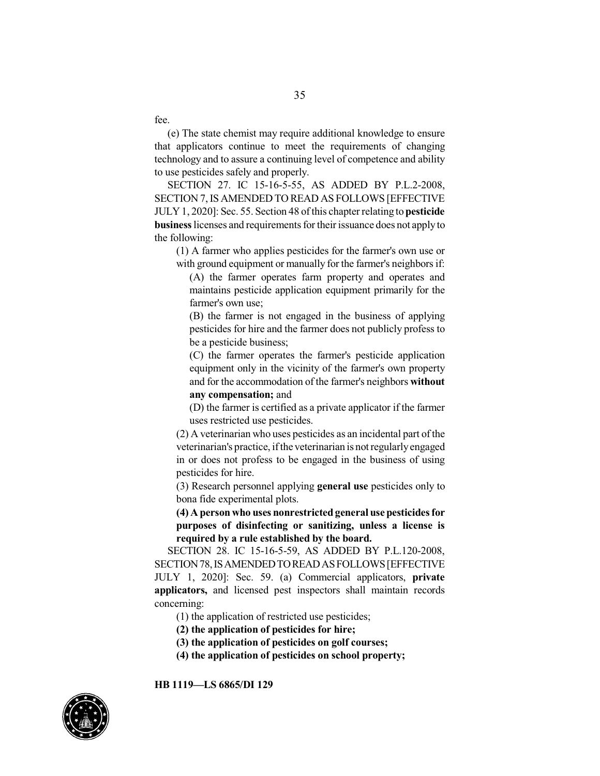fee.

(e) The state chemist may require additional knowledge to ensure that applicators continue to meet the requirements of changing technology and to assure a continuing level of competence and ability to use pesticides safely and properly.

SECTION 27. IC 15-16-5-55, AS ADDED BY P.L.2-2008, SECTION 7,IS AMENDED TO READ AS FOLLOWS [EFFECTIVE JULY1, 2020]: Sec. 55. Section 48 ofthis chapter relating to**pesticide business** licenses and requirements for their issuance does not apply to the following:

(1) A farmer who applies pesticides for the farmer's own use or with ground equipment or manually for the farmer's neighbors if:

(A) the farmer operates farm property and operates and maintains pesticide application equipment primarily for the farmer's own use;

(B) the farmer is not engaged in the business of applying pesticides for hire and the farmer does not publicly profess to be a pesticide business;

(C) the farmer operates the farmer's pesticide application equipment only in the vicinity of the farmer's own property and for the accommodation of the farmer's neighbors **without any compensation;** and

(D) the farmer is certified as a private applicator if the farmer uses restricted use pesticides.

 $(2)$  A veterinarian who uses pesticides as an incidental part of the veterinarian's practice, ifthe veterinarian is not regularlyengaged in or does not profess to be engaged in the business of using pesticides for hire.

(3) Research personnel applying **general use** pesticides only to bona fide experimental plots.

**(4) A person who uses nonrestrictedgeneral use pesticidesfor purposes of disinfecting or sanitizing, unless a license is required by a rule established by the board.**

SECTION 28. IC 15-16-5-59, AS ADDED BY P.L.120-2008, SECTION78,ISAMENDEDTOREADASFOLLOWS[EFFECTIVE JULY 1, 2020]: Sec. 59. (a) Commercial applicators, **private applicators,** and licensed pest inspectors shall maintain records concerning:

(1) the application of restricted use pesticides;

**(2) the application of pesticides for hire;**

- **(3) the application of pesticides on golf courses;**
- **(4) the application of pesticides on school property;**

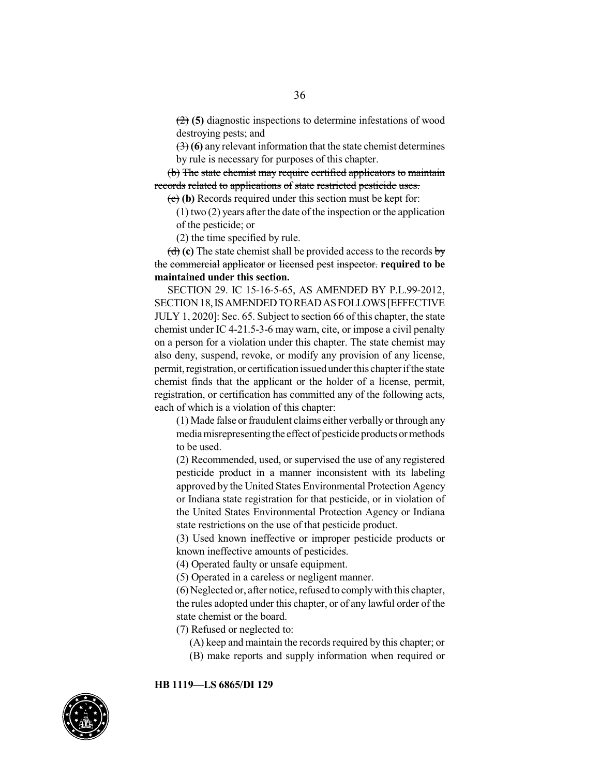(2) **(5)** diagnostic inspections to determine infestations of wood destroying pests; and

(3) **(6)** any relevant information that the state chemist determines by rule is necessary for purposes of this chapter.

(b) The state chemist may require certified applicators to maintain records related to applications of state restricted pesticide uses.

(c) **(b)** Records required under this section must be kept for:

(1) two (2) years after the date of the inspection or the application of the pesticide; or

(2) the time specified by rule.

(d) **(c)** The state chemist shall be provided access to the records by the commercial applicator or licensed pest inspector. **required to be maintained under this section.**

SECTION 29. IC 15-16-5-65, AS AMENDED BY P.L.99-2012, SECTION 18, IS AMENDED TO READ AS FOLLOWS [EFFECTIVE JULY 1, 2020]: Sec. 65. Subject to section 66 of this chapter, the state chemist under IC 4-21.5-3-6 may warn, cite, or impose a civil penalty on a person for a violation under this chapter. The state chemist may also deny, suspend, revoke, or modify any provision of any license, permit, registration, or certification issued under this chapter if the state chemist finds that the applicant or the holder of a license, permit, registration, or certification has committed any of the following acts, each of which is a violation of this chapter:

(1) Made false or fraudulent claims either verbally or through any mediamisrepresentingthe effect of pesticide products or methods to be used.

(2) Recommended, used, or supervised the use of any registered pesticide product in a manner inconsistent with its labeling approved by the United States Environmental Protection Agency or Indiana state registration for that pesticide, or in violation of the United States Environmental Protection Agency or Indiana state restrictions on the use of that pesticide product.

(3) Used known ineffective or improper pesticide products or known ineffective amounts of pesticides.

(4) Operated faulty or unsafe equipment.

(5) Operated in a careless or negligent manner.

(6) Neglected or, after notice,refused to complywith this chapter, the rules adopted under this chapter, or of any lawful order of the state chemist or the board.

(7) Refused or neglected to:

- (A) keep and maintain the records required by this chapter; or
- (B) make reports and supply information when required or

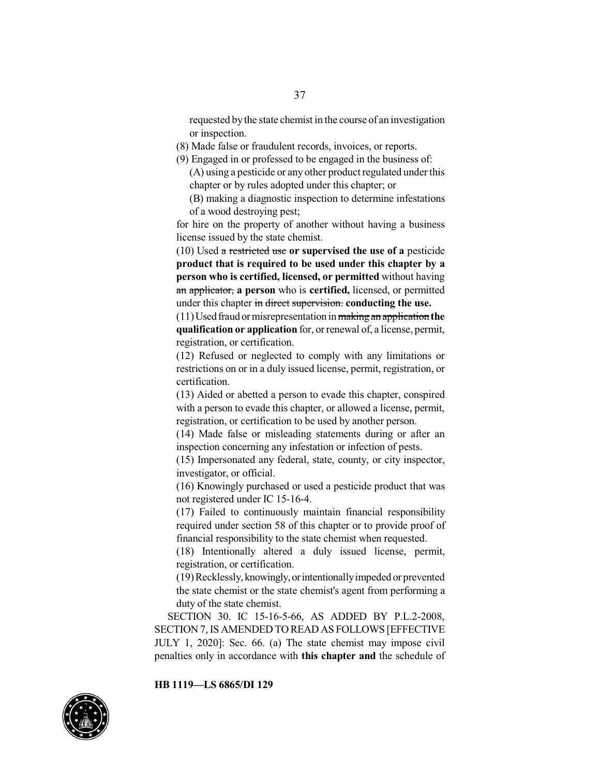requested by the state chemist in the course of an investigation or inspection.

- (8) Made false or fraudulent records, invoices, or reports.
- (9) Engaged in or professed to be engaged in the business of:  $(A)$  using a pesticide or any other product regulated under this chapter or by rules adopted under this chapter; or
	- (B) making a diagnostic inspection to determine infestations of a wood destroying pest;

for hire on the property of another without having a business license issued by the state chemist.

(10) Used a restricted use **or supervised the use of a** pesticide **product that is required to be used under this chapter by a person who is certified, licensed, or permitted** without having an applicator, **a person** who is **certified,** licensed, or permitted under this chapter in direct supervision. **conducting the use.**

(11)Usedfraud or misrepresentation inmakingan application **the qualification or application** for, or renewal of, a license, permit, registration, or certification.

(12) Refused or neglected to comply with any limitations or restrictions on or in a duly issued license, permit, registration, or certification.

(13) Aided or abetted a person to evade this chapter, conspired with a person to evade this chapter, or allowed a license, permit, registration, or certification to be used by another person.

(14) Made false or misleading statements during or after an inspection concerning any infestation or infection of pests.

(15) Impersonated any federal, state, county, or city inspector, investigator, or official.

(16) Knowingly purchased or used a pesticide product that was not registered under IC 15-16-4.

(17) Failed to continuously maintain financial responsibility required under section 58 of this chapter or to provide proof of financial responsibility to the state chemist when requested.

(18) Intentionally altered a duly issued license, permit, registration, or certification.

(19)Recklessly,knowingly,orintentionallyimpeded or prevented the state chemist or the state chemist's agent from performing a duty of the state chemist.

SECTION 30. IC 15-16-5-66, AS ADDED BY P.L.2-2008, SECTION 7,IS AMENDED TO READ AS FOLLOWS [EFFECTIVE JULY 1, 2020]: Sec. 66. (a) The state chemist may impose civil penalties only in accordance with **this chapter and** the schedule of

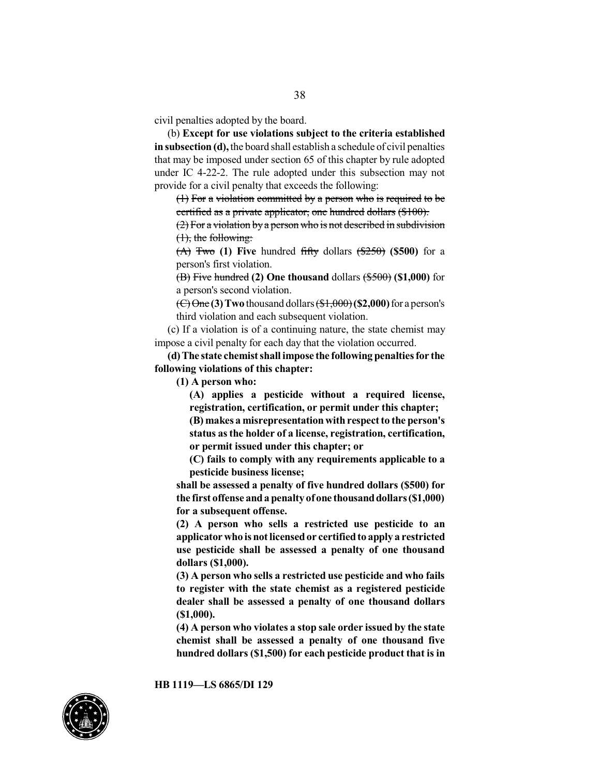civil penalties adopted by the board.

(b) **Except for use violations subject to the criteria established insubsection (d),** the board shall establish a schedule of civil penalties that may be imposed under section 65 of this chapter by rule adopted under IC 4-22-2. The rule adopted under this subsection may not provide for a civil penalty that exceeds the following:

(1) For a violation committed by a person who is required to be certified as a private applicator, one hundred dollars (\$100).

(2) For a violation bya person who is not described in subdivision (1), the following:

(A) Two **(1) Five** hundred fifty dollars (\$250) **(\$500)** for a person's first violation.

(B) Five hundred **(2) One thousand** dollars (\$500) **(\$1,000)** for a person's second violation.

(C) One **(3) Two** thousand dollars (\$1,000)**(\$2,000)**for a person's third violation and each subsequent violation.

(c) If a violation is of a continuing nature, the state chemist may impose a civil penalty for each day that the violation occurred.

**(d) The state chemist shall impose the following penaltiesfor the following violations of this chapter:**

**(1) A person who:**

**(A) applies a pesticide without a required license, registration, certification, or permit under this chapter;**

**(B) makes a misrepresentationwithrespect to the person's status asthe holder of a license, registration, certification, or permit issued under this chapter; or**

**(C) fails to comply with any requirements applicable to a pesticide business license;**

**shall be assessed a penalty of five hundred dollars (\$500) for** the first offense and a penalty of one thousand dollars (\$1,000) **for a subsequent offense.**

**(2) A person who sells a restricted use pesticide to an applicator who is notlicensedor certifiedto apply a restricted use pesticide shall be assessed a penalty of one thousand dollars (\$1,000).**

**(3) A person who sells a restricted use pesticide and who fails to register with the state chemist as a registered pesticide dealer shall be assessed a penalty of one thousand dollars (\$1,000).**

**(4) A person who violates a stop sale order issued by the state chemist shall be assessed a penalty of one thousand five hundred dollars (\$1,500) for each pesticide product that is in**

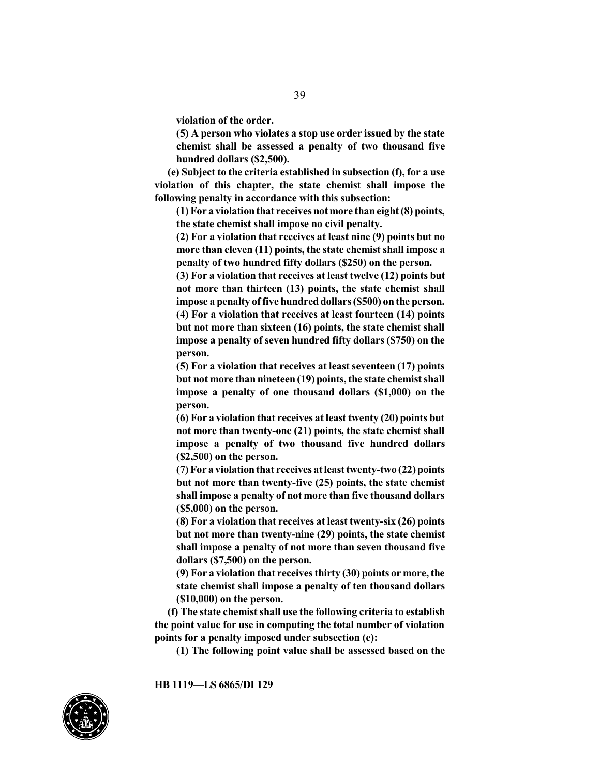**violation of the order.**

**(5) A person who violates a stop use order issued by the state chemist shall be assessed a penalty of two thousand five hundred dollars (\$2,500).**

**(e) Subject to the criteria established in subsection (f), for a use violation of this chapter, the state chemist shall impose the following penalty in accordance with this subsection:**

**(1) For a violationthat receives notmore thaneight (8) points, the state chemist shall impose no civil penalty.**

**(2) For a violation that receives at least nine (9) points but no more than eleven (11) points, the state chemist shall impose a penalty of two hundred fifty dollars (\$250) on the person.**

**(3) For a violation that receives at least twelve (12) points but not more than thirteen (13) points, the state chemist shall impose a penalty of five hundred dollars (\$500)** on the person. **(4) For a violation that receives at least fourteen (14) points but not more than sixteen (16) points, the state chemist shall impose a penalty of seven hundred fifty dollars (\$750) on the person.**

**(5) For a violation that receives at least seventeen (17) points but not more than nineteen** (19) points, the state chemist shall **impose a penalty of one thousand dollars (\$1,000) on the person.**

**(6) For a violation that receives at least twenty (20) points but not more than twenty-one (21) points, the state chemist shall impose a penalty of two thousand five hundred dollars (\$2,500) on the person.**

**(7) For a violationthat receives atleast twenty-two (22) points but not more than twenty-five (25) points, the state chemist shall impose a penalty of not more than five thousand dollars (\$5,000) on the person.**

**(8) For a violation that receives at least twenty-six (26) points but not more than twenty-nine (29) points, the state chemist shall impose a penalty of not more than seven thousand five dollars (\$7,500) on the person.**

**(9) For a violation that receivesthirty (30) points or more,the state chemist shall impose a penalty of ten thousand dollars (\$10,000) on the person.**

**(f) The state chemist shall use the following criteria to establish the point value for use in computing the total number of violation points for a penalty imposed under subsection (e):**

**(1) The following point value shall be assessed based on the**

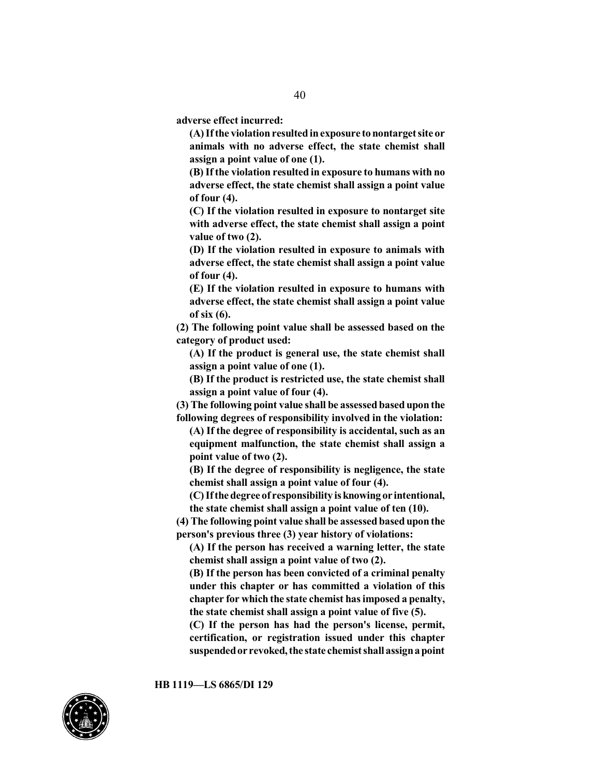**adverse effect incurred:**

**(A) Ifthe violation resultedinexposure tonontargetsite or animals with no adverse effect, the state chemist shall assign a point value of one (1).**

**(B) If the violation resulted in exposure to humans with no adverse effect, the state chemist shall assign a point value of four (4).**

**(C) If the violation resulted in exposure to nontarget site with adverse effect, the state chemist shall assign a point value of two (2).**

**(D) If the violation resulted in exposure to animals with adverse effect, the state chemist shall assign a point value of four (4).**

**(E) If the violation resulted in exposure to humans with adverse effect, the state chemist shall assign a point value of six (6).**

**(2) The following point value shall be assessed based on the category of product used:**

**(A) If the product is general use, the state chemist shall assign a point value of one (1).**

**(B) If the product is restricted use, the state chemist shall assign a point value of four (4).**

**(3) The following point value shall be assessed based upon the following degrees of responsibility involved in the violation:**

**(A) If the degree of responsibility is accidental, such as an equipment malfunction, the state chemist shall assign a point value of two (2).**

**(B) If the degree of responsibility is negligence, the state chemist shall assign a point value of four (4).**

**(C) Ifthe degree of responsibility isknowing or intentional, the state chemist shall assign a point value of ten (10).**

**(4) The following point value shall be assessed based upon the person's previous three (3) year history of violations:**

**(A) If the person has received a warning letter, the state chemist shall assign a point value of two (2).**

**(B) If the person has been convicted of a criminal penalty under this chapter or has committed a violation of this chapter for which the state chemist hasimposed a penalty, the state chemist shall assign a point value of five (5).**

**(C) If the person has had the person's license, permit, certification, or registration issued under this chapter suspendedor revoked,the state chemist shall assigna point**

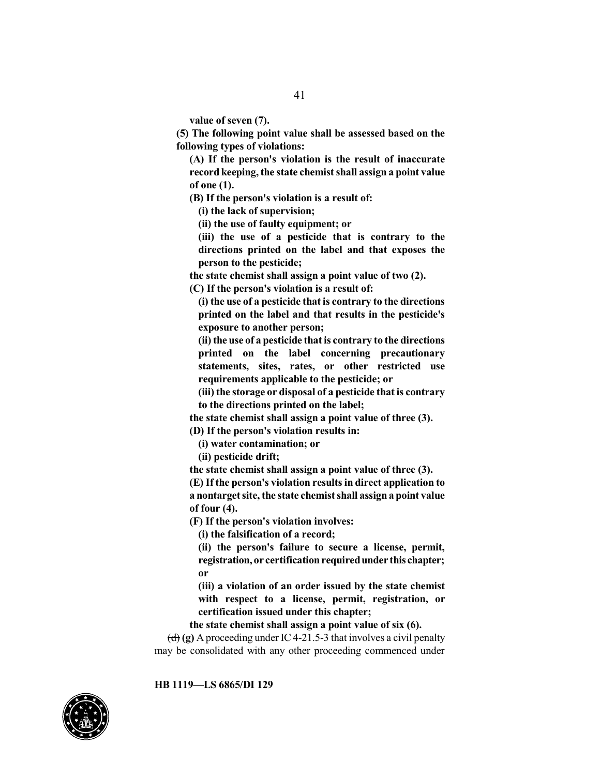**value of seven (7).**

**(5) The following point value shall be assessed based on the following types of violations:**

**(A) If the person's violation is the result of inaccurate record keeping,the state chemist shall assign a point value of one (1).**

**(B) If the person's violation is a result of:**

**(i) the lack of supervision;**

**(ii) the use of faulty equipment; or**

**(iii) the use of a pesticide that is contrary to the directions printed on the label and that exposes the person to the pesticide;**

**the state chemist shall assign a point value of two (2).**

**(C) If the person's violation is a result of:**

**(i) the use of a pesticide that is contrary to the directions printed on the label and that results in the pesticide's exposure to another person;**

**(ii)the use of a pesticide thatis contrary to the directions printed on the label concerning precautionary statements, sites, rates, or other restricted use requirements applicable to the pesticide; or**

**(iii) the storage or disposal of a pesticide that is contrary to the directions printed on the label;**

**the state chemist shall assign a point value of three (3).**

**(D) If the person's violation results in:**

**(i) water contamination; or**

**(ii) pesticide drift;**

**the state chemist shall assign a point value of three (3).**

**(E) If the person's violation results in direct application to** a nontarget site, the state chemist shall assign a point value **of four (4).**

**(F) If the person's violation involves:**

**(i) the falsification of a record;**

**(ii) the person's failure to secure a license, permit, registration, or certificationrequiredunder this chapter; or**

**(iii) a violation of an order issued by the state chemist with respect to a license, permit, registration, or certification issued under this chapter;**

**the state chemist shall assign a point value of six (6).**

 $\left(\frac{d}{d}\right)$  (g) A proceeding under IC 4-21.5-3 that involves a civil penalty may be consolidated with any other proceeding commenced under